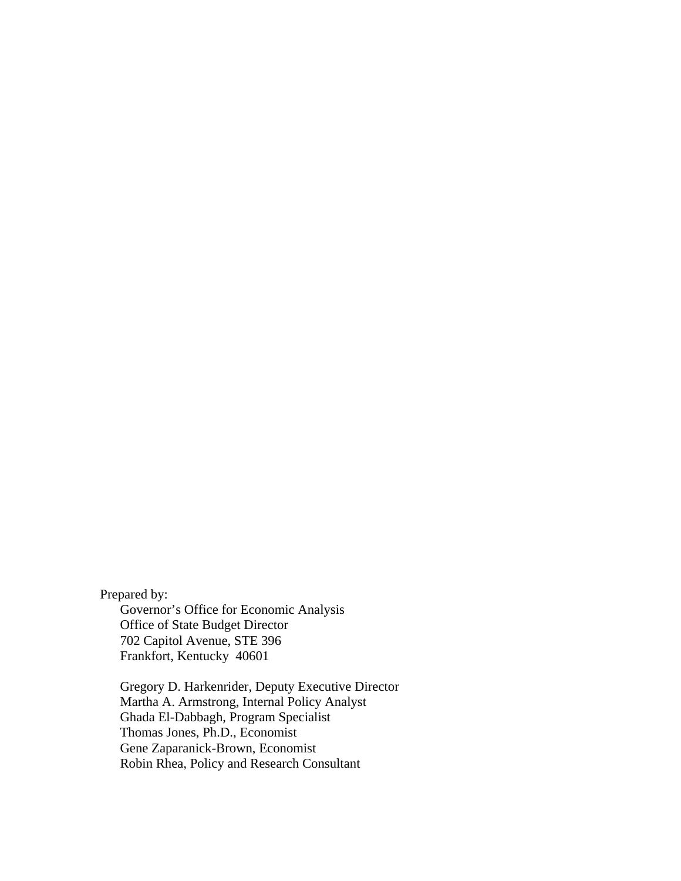Prepared by:

 Governor's Office for Economic Analysis Office of State Budget Director 702 Capitol Avenue, STE 396 Frankfort, Kentucky 40601

 Gregory D. Harkenrider, Deputy Executive Director Martha A. Armstrong, Internal Policy Analyst Ghada El-Dabbagh, Program Specialist Thomas Jones, Ph.D., Economist Gene Zaparanick-Brown, Economist Robin Rhea, Policy and Research Consultant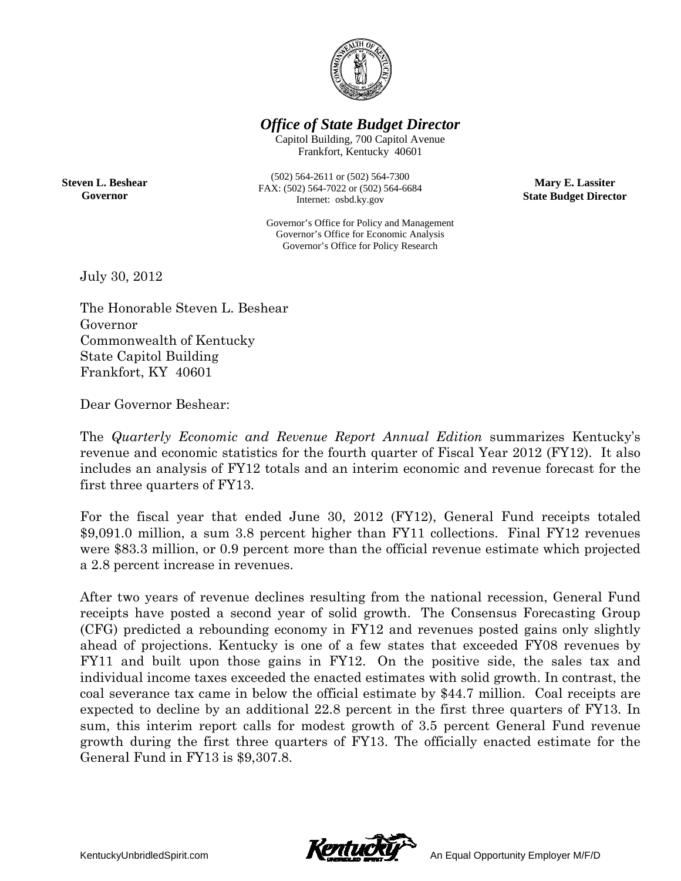

*<i>Office of State Budget Director* 

Capitol B uilding, 700 C Capitol Avenue Frankfort, Kentucky 40601

**S Steven L. Besh hear Governor r**

(502) 564-2 2611 or (502) 564 4-7300 FAX: (502) 56 4-7022 or (502) 564-6684 Internet: osbd.ky.gov

Internet: osbd.ky.gov<br>Governor's Office for Policy and Management Governor's Office for Economic Analysis Governor's Office for Policy Research

**Mary E. . Lassiter State Budget Director** 

July 30, , 2012

The Honorable Steven L. Beshear Governor Commonwealth of Kentucky State Capitol Building Frankfort, KY 40601

Dear Governor Beshear:

The *Quarterly Economic and Revenue Report Annual Edition* summarizes Kentucky's The *Quarterly Economic and Revenue Report Annual Edition* summarizes Kentucky's revenue and economic statistics for the fourth quarter of Fiscal Year 2012 (FY12). It also includes an analysis of FY12 totals and an interim economic and revenue forecast for the first three quarters of FY13.

For the fiscal year that ended June 30, 2012 (FY12), General Fund receipts totaled \$9,091.0 million, a sum 3.8 percent higher than FY11 collections. Final FY12 revenues were \$83.3 million, or 0.9 percent more than the official revenue estimate which projected a 2.8 percent increase in revenues.

After two years of revenue declines resulting from the national recession, General Fund receipts have posted a second year of solid growth. The Consensus Forecasting Group (CFG) predicted a rebounding economy in FY12 and revenues posted gains only slightly ahead of projections. Kentucky is one of a few states that exceeded FY08 revenues by FY11 and built upon those gains in FY12. On the positive side, the sales tax and individual income taxes exceeded the enacted estimates with solid growth. In contrast, the coal severance tax came in below the official estimate by \$44.7 million. Coal receipts are expected to decline by an additional 22.8 percent in the first three quarters of FY13. In sum, this interim report calls for modest growth of 3.5 percent General Fund revenue growth during the first three quarters of FY13. The officially enacted estimate for the General Fund in FY13 is \$9,307.8. edsddpyydenee

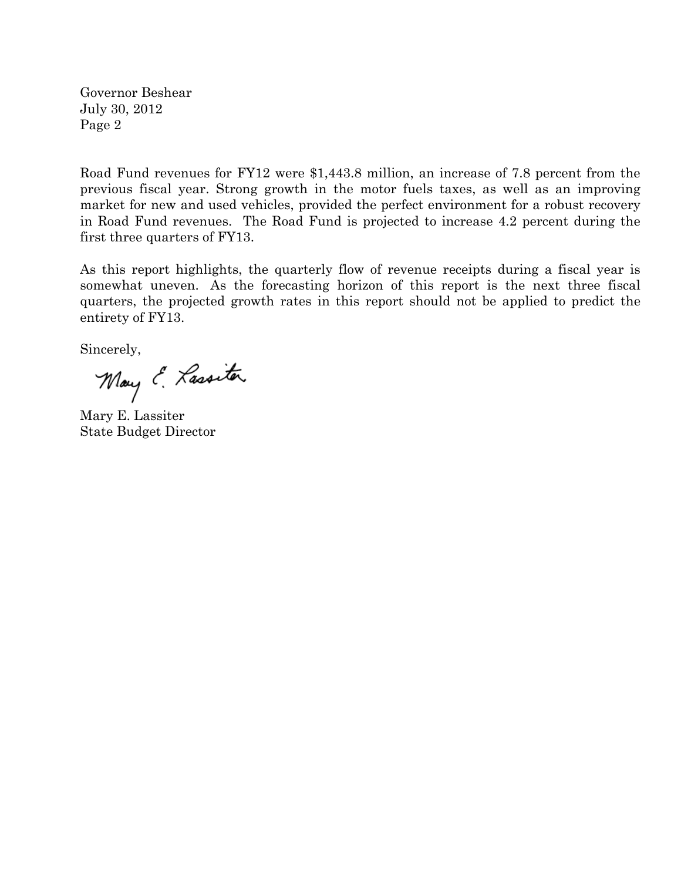Governor Beshear July 30, 2012 Page 2

Road Fund revenues for FY12 were \$1,443.8 million, an increase of 7.8 percent from the previous fiscal year. Strong growth in the motor fuels taxes, as well as an improving market for new and used vehicles, provided the perfect environment for a robust recovery in Road Fund revenues. The Road Fund is projected to increase 4.2 percent during the first three quarters of FY13.

As this report highlights, the quarterly flow of revenue receipts during a fiscal year is somewhat uneven. As the forecasting horizon of this report is the next three fiscal quarters, the projected growth rates in this report should not be applied to predict the entirety of FY13.

Sincerely,

May E. Lassitar

Mary E. Lassiter State Budget Director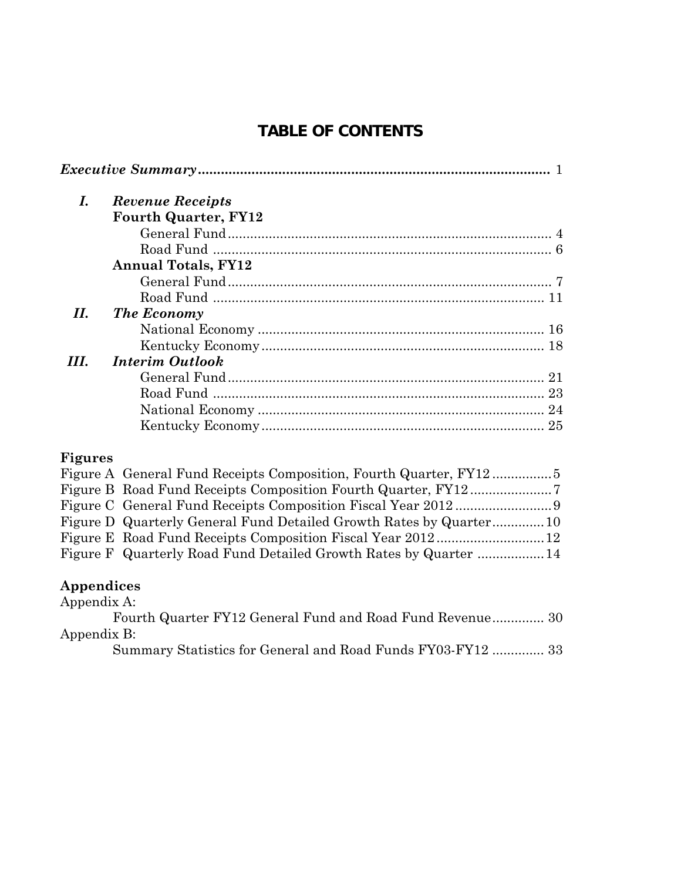## **TABLE OF CONTENTS**

| I.  | <b>Revenue Receipts</b>     |  |
|-----|-----------------------------|--|
|     | <b>Fourth Quarter, FY12</b> |  |
|     |                             |  |
|     |                             |  |
|     | <b>Annual Totals, FY12</b>  |  |
|     |                             |  |
|     |                             |  |
| Н.  | The Economy                 |  |
|     |                             |  |
|     |                             |  |
| HI. | <b>Interim Outlook</b>      |  |
|     |                             |  |
|     |                             |  |
|     |                             |  |
|     |                             |  |
|     |                             |  |

## **Figures**

| Figure D Quarterly General Fund Detailed Growth Rates by Quarter10 |  |
|--------------------------------------------------------------------|--|
|                                                                    |  |
| Figure F Quarterly Road Fund Detailed Growth Rates by Quarter 14   |  |

## **Appendices**

| Appendix A:                                                 |  |
|-------------------------------------------------------------|--|
| Fourth Quarter FY12 General Fund and Road Fund Revenue 30   |  |
| Appendix B:                                                 |  |
| Summary Statistics for General and Road Funds FY03-FY12  33 |  |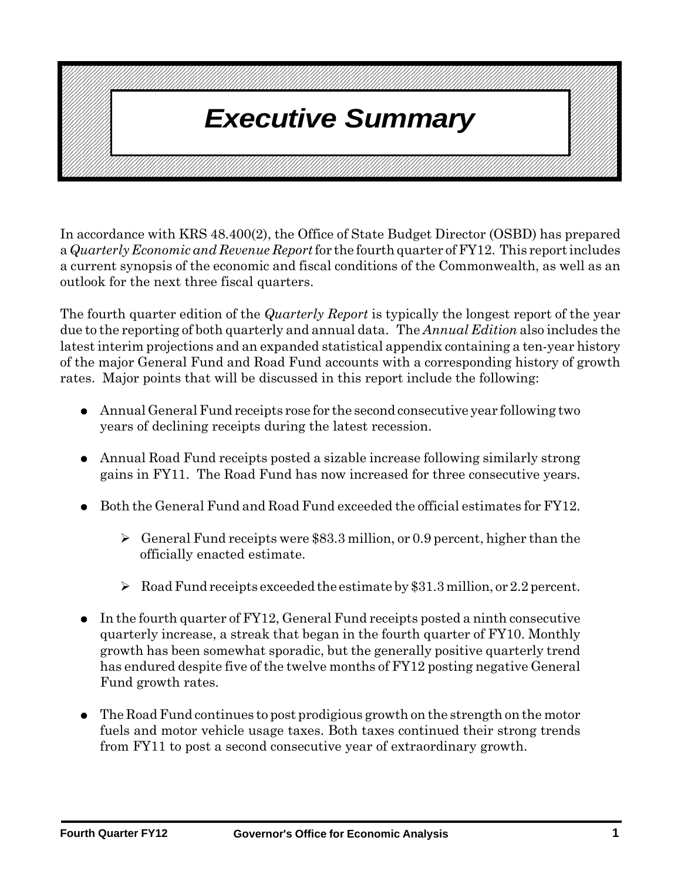#### $\boldsymbol{L}$ **Excutive Suitingly**  $\boldsymbol{V}$ 1234567890123456789012345678901212345678901234567890123456789012123456789012345678901234567890121234567890123456789012345678901212345678901234567890123 1234567890123456789012345678901212345678901234567890123456789012123456789012345678901234567890121234567890123456789012345678901212345678901234567890123 1 3 1234567890123456789012345678901212345678901234567890123456789012123456789012345678901234567890121234567890123456789012345678901212345678901234567890123 1234567890123456789012345678901212345678901234567890123456789012123456789012345678901234567890121234567890123456789012345678901212345678901234567890123 1 3 1234567890123456789012345678901212345678901234567890123456789012123456789012345678901234567890121234567890123456789012345678901212345678901234567890123 1234567890123456789012345678901212345678901234567890123456789012123456789012345678901234567890121234567890123456789012345678901212345678901234567890123 1234567890123456789012345678901212345678901234567890123456789012123456789012345678901234567890121234567890123456789012345678901212345678901234567890123 1234567890123456789012345678901212345678901234567890123456789012123456789012345678901234567890121234567890123456789012345678901212345678901234567890123 1 3 1234567890123456789012345678901212345678901234567890123456789012123456789012345678901234567890121234567890123456789012345678901212345678901234567890123 1234567890123456789012345678901212345678901234567890123456789012123456789012345678901234567890121234567890123456789012345678901212345678901234567890123 **Executive Summary Andrew Constructs** 1 3 1234567890123456789012345678901212345678901234567890123456789012123456789012345678901234567890121234567890123456789012345678901212345678901234567890123 1234567890123456789012345678901212345678901234567890123456789012123456789012345678901234567890121234567890123456789012345678901212345678901234567890123 1234567890123456789012345678901212345678901234567890123456789012123456789012345678901234567890121234567890123456789012345678901212345678901234567890123 1234567890123456789012345678901212345678901234567890123456789012123456789012345678901234567890121234567890123456789012345678901212345678901234567890123 1234567890123456789012345678901212345678901234567890123456789012123456789012345678901234567890121234567890123456789012345678901212345678901234567890123 1 3 1234567890123456789012345678901212345678901234567890123456789012123456789012345678901234567890121234567890123456789012345678901212345678901234567890123 1 3 1234567890123456789012345678901212345678901234567890123456789012123456789012345678901234567890121234567890123456789012345678901212345678901234567890123 1234567890123456789012345678901212345678901234567890123456789012123456789012345678901234567890121234567890123456789012345678901212345678901234567890123 1 3 1234567890123456789012345678901212345678901234567890123456789012123456789012345678901234567890121234567890123456789012345678901212345678901234567890123

In accordance with KRS 48.400(2), the Office of State Budget Director (OSBD) has prepared a *Quarterly Economic and Revenue Report* for the fourth quarter of FY12. This report includes a current synopsis of the economic and fiscal conditions of the Commonwealth, as well as an outlook for the next three fiscal quarters.

The fourth quarter edition of the *Quarterly Report* is typically the longest report of the year due to the reporting of both quarterly and annual data. The *Annual Edition* also includes the latest interim projections and an expanded statistical appendix containing a ten-year history of the major General Fund and Road Fund accounts with a corresponding history of growth rates. Major points that will be discussed in this report include the following:

- Annual General Fund receipts rose for the second consecutive year following two years of declining receipts during the latest recession.
- Annual Road Fund receipts posted a sizable increase following similarly strong gains in FY11. The Road Fund has now increased for three consecutive years.
- $\bullet$  Both the General Fund and Road Fund exceeded the official estimates for FY12.
	- $\triangleright$  General Fund receipts were \$83.3 million, or 0.9 percent, higher than the officially enacted estimate.
	- $\triangleright$  Road Fund receipts exceeded the estimate by \$31.3 million, or 2.2 percent.
- $\bullet$  In the fourth quarter of FY12, General Fund receipts posted a ninth consecutive quarterly increase, a streak that began in the fourth quarter of FY10. Monthly growth has been somewhat sporadic, but the generally positive quarterly trend has endured despite five of the twelve months of FY12 posting negative General Fund growth rates.
- ¦ The Road Fund continues to post prodigious growth on the strength on the motor fuels and motor vehicle usage taxes. Both taxes continued their strong trends from FY11 to post a second consecutive year of extraordinary growth.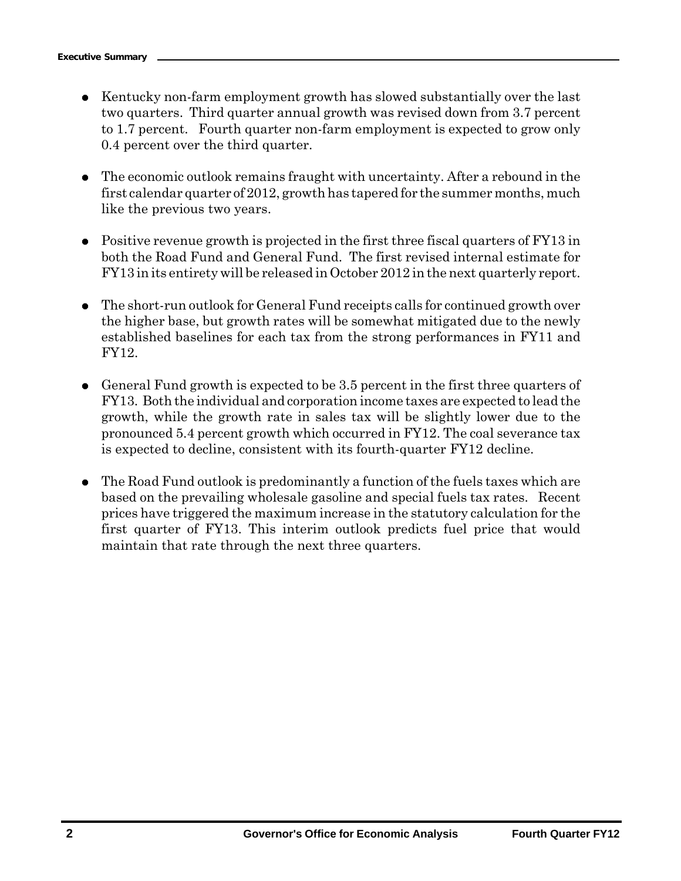- Kentucky non-farm employment growth has slowed substantially over the last two quarters. Third quarter annual growth was revised down from 3.7 percent to 1.7 percent. Fourth quarter non-farm employment is expected to grow only 0.4 percent over the third quarter.
- The economic outlook remains fraught with uncertainty. After a rebound in the first calendar quarter of 2012, growth has tapered for the summer months, much like the previous two years.
- $\bullet$  Positive revenue growth is projected in the first three fiscal quarters of FY13 in both the Road Fund and General Fund. The first revised internal estimate for FY13 in its entirety will be released in October 2012 in the next quarterly report.
- The short-run outlook for General Fund receipts calls for continued growth over the higher base, but growth rates will be somewhat mitigated due to the newly established baselines for each tax from the strong performances in FY11 and FY12.
- General Fund growth is expected to be 3.5 percent in the first three quarters of FY13. Both the individual and corporation income taxes are expected to lead the growth, while the growth rate in sales tax will be slightly lower due to the pronounced 5.4 percent growth which occurred in FY12. The coal severance tax is expected to decline, consistent with its fourth-quarter FY12 decline.
- ¦ The Road Fund outlook is predominantly a function of the fuels taxes which are based on the prevailing wholesale gasoline and special fuels tax rates. Recent prices have triggered the maximum increase in the statutory calculation for the first quarter of FY13. This interim outlook predicts fuel price that would maintain that rate through the next three quarters.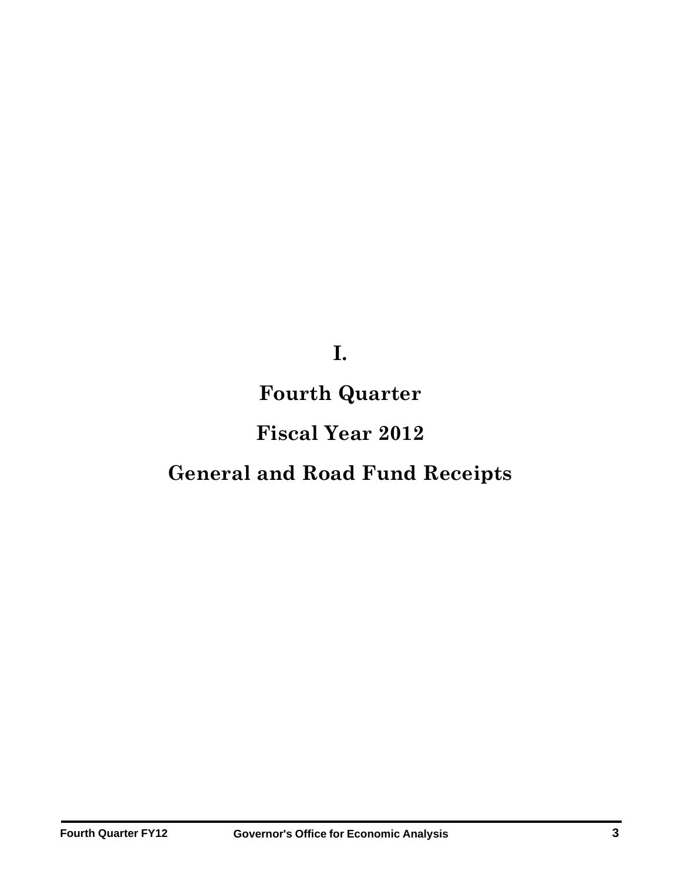**I.**

## **Fourth Quarter**

## **Fiscal Year 2012**

# **General and Road Fund Receipts**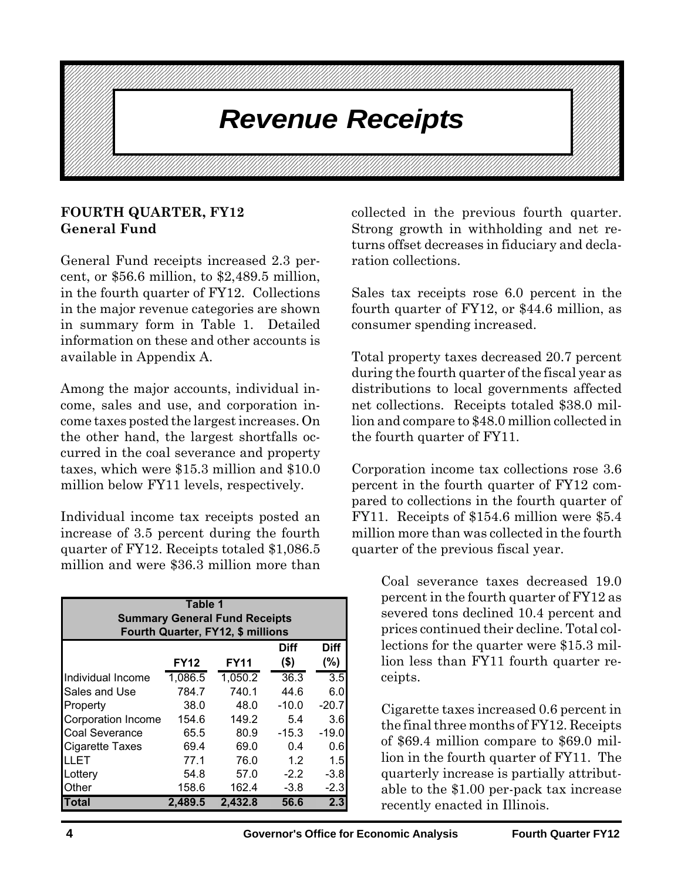#### 1234567890123456789012345678901212345678901234567890123456789012123456789012345678901234567890121234567890123456789012345678901212345678901234567890123 1234567890123456789012345678901212345678901234567890123456789012123456789012345678901234567890121234567890123456789012345678901212345678901234567890123 **The Revenue Receipts Constitution in the Revenue Receipts** 1 3 1234567890123456789012345678901212345678901234567890123456789012123456789012345678901234567890121234567890123456789012345678901212345678901234567890123 1234567890123456789012345678901212345678901234567890123456789012123456789012345678901234567890121234567890123456789012345678901212345678901234567890123

1234567890123456789012345678901212345678901234567890123456789012123456789012345678901234567890121234567890123456789012345678901212345678901234567890123 1234567890123456789012345678901212345678901234567890123456789012123456789012345678901234567890121234567890123456789012345678901212345678901234567890123 1234567890123456789012345678901212345678901234567890123456789012123456789012345678901234567890121234567890123456789012345678901212345678901234567890123 1 3 1234567890123456789012345678901212345678901234567890123456789012123456789012345678901234567890121234567890123456789012345678901212345678901234567890123 1 3 1234567890123456789012345678901212345678901234567890123456789012123456789012345678901234567890121234567890123456789012345678901212345678901234567890123 1234567890123456789012345678901212345678901234567890123456789012123456789012345678901234567890121234567890123456789012345678901212345678901234567890123 1 3

1234567890123456789012345678901212345678901234567890123456789012123456789012345678901234567890121234567890123456789012345678901212345678901234567890123 1 3 1234567890123456789012345678901212345678901234567890123456789012123456789012345678901234567890121234567890123456789012345678901212345678901234567890123 1234567890123456789012345678901212345678901234567890123456789012123456789012345678901234567890121234567890123456789012345678901212345678901234567890123 1 3 1234567890123456789012345678901212345678901234567890123456789012123456789012345678901234567890121234567890123456789012345678901212345678901234567890123 1234567890123456789012345678901212345678901234567890123456789012123456789012345678901234567890121234567890123456789012345678901212345678901234567890123 1234567890123456789012345678901212345678901234567890123456789012123456789012345678901234567890121234567890123456789012345678901212345678901234567890123 1234567890123456789012345678901212345678901234567890123456789012123456789012345678901234567890121234567890123456789012345678901212345678901234567890123 1 3

## **FOURTH QUARTER, FY12 General Fund**

General Fund receipts increased 2.3 percent, or \$56.6 million, to \$2,489.5 million, in the fourth quarter of FY12. Collections in the major revenue categories are shown in summary form in Table 1. Detailed information on these and other accounts is available in Appendix A.

Among the major accounts, individual income, sales and use, and corporation income taxes posted the largest increases. On the other hand, the largest shortfalls occurred in the coal severance and property taxes, which were \$15.3 million and \$10.0 million below FY11 levels, respectively.

Individual income tax receipts posted an increase of 3.5 percent during the fourth quarter of FY12. Receipts totaled \$1,086.5 million and were \$36.3 million more than

| Table 1                                     |             |             |             |             |  |  |  |  |  |  |
|---------------------------------------------|-------------|-------------|-------------|-------------|--|--|--|--|--|--|
| <b>Summary General Fund Receipts</b>        |             |             |             |             |  |  |  |  |  |  |
| Fourth Quarter, FY12, \$ millions           |             |             |             |             |  |  |  |  |  |  |
|                                             |             |             |             |             |  |  |  |  |  |  |
|                                             |             |             | <b>Diff</b> | <b>Diff</b> |  |  |  |  |  |  |
|                                             | <b>FY12</b> | <b>FY11</b> | $($ \$)     | $(\% )$     |  |  |  |  |  |  |
| Individual Income                           | 1,086.5     | 1,050.2     | 36.3        | 3.5         |  |  |  |  |  |  |
| <b>Sales and Use</b>                        | 784.7       | 740.1       | 44.6        | 6.0         |  |  |  |  |  |  |
| Property                                    | 38.0        | 48.0        | $-10.0$     | $-20.7$     |  |  |  |  |  |  |
| <b>Corporation Income</b>                   | 154.6       | 149.2       | 5.4         | 3.6         |  |  |  |  |  |  |
| <b>Coal Severance</b>                       | 65.5        | 80.9        | $-15.3$     | $-19.0$     |  |  |  |  |  |  |
| <b>Cigarette Taxes</b>                      | 69.4        | 69.0        | 0.4         | 0.6         |  |  |  |  |  |  |
| LLET                                        | 77.1        | 76.0        | 1.2         | 1.5         |  |  |  |  |  |  |
| Lottery                                     | 54.8        | 57.0        | $-2.2$      | $-3.8$      |  |  |  |  |  |  |
| 158.6<br>162.4<br>Other<br>$-2.3$<br>$-3.8$ |             |             |             |             |  |  |  |  |  |  |
| Total                                       | 2.489.5     | 2,432.8     | 56.6        | 2.3         |  |  |  |  |  |  |

collected in the previous fourth quarter. Strong growth in withholding and net returns offset decreases in fiduciary and declaration collections.

Sales tax receipts rose 6.0 percent in the fourth quarter of FY12, or \$44.6 million, as consumer spending increased.

Total property taxes decreased 20.7 percent during the fourth quarter of the fiscal year as distributions to local governments affected net collections. Receipts totaled \$38.0 million and compare to \$48.0 million collected in the fourth quarter of FY11.

Corporation income tax collections rose 3.6 percent in the fourth quarter of FY12 compared to collections in the fourth quarter of FY11. Receipts of \$154.6 million were \$5.4 million more than was collected in the fourth quarter of the previous fiscal year.

> Coal severance taxes decreased 19.0 percent in the fourth quarter of FY12 as severed tons declined 10.4 percent and prices continued their decline. Total collections for the quarter were \$15.3 million less than FY11 fourth quarter receipts.

> Cigarette taxes increased 0.6 percent in the final three months of FY12. Receipts of \$69.4 million compare to \$69.0 million in the fourth quarter of FY11. The quarterly increase is partially attributable to the \$1.00 per-pack tax increase recently enacted in Illinois.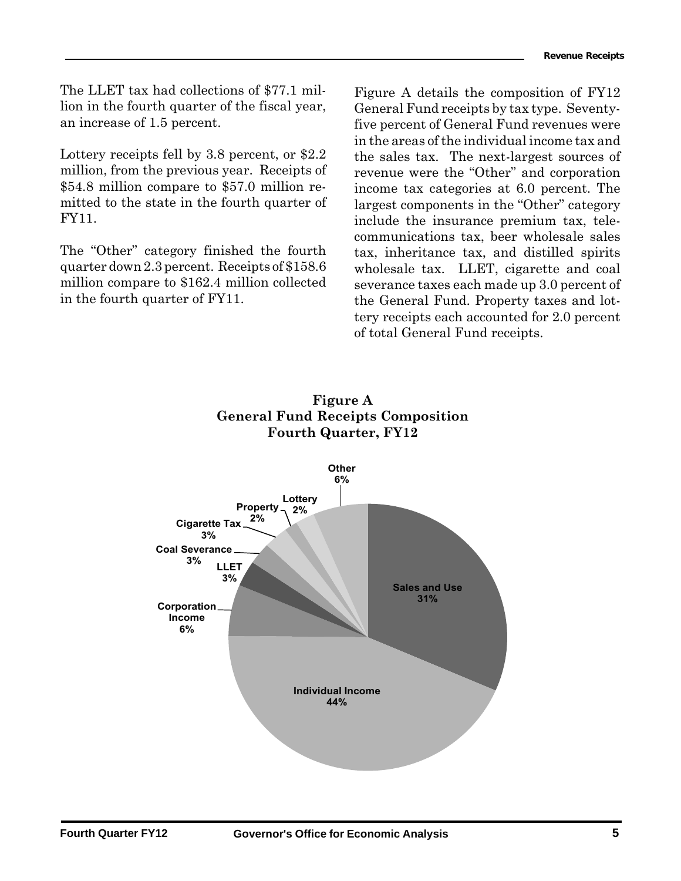The LLET tax had collections of \$77.1 million in the fourth quarter of the fiscal year, an increase of 1.5 percent.

Lottery receipts fell by 3.8 percent, or \$2.2 million, from the previous year. Receipts of \$54.8 million compare to \$57.0 million remitted to the state in the fourth quarter of FY11.

The "Other" category finished the fourth quarter down 2.3 percent. Receipts of \$158.6 million compare to \$162.4 million collected in the fourth quarter of FY11.

an increase of 1.5 percent. **Exercise 2008** five percent of General Fund revenues were Figure A details the composition of FY12 General Fund receipts by tax type. Seventyin the areas of the individual income tax and the sales tax. The next-largest sources of revenue were the "Other" and corporation income tax categories at 6.0 percent. The largest components in the "Other" category include the insurance premium tax, telecommunications tax, beer wholesale sales tax, inheritance tax, and distilled spirits wholesale tax. LLET, cigarette and coal severance taxes each made up 3.0 percent of the General Fund. Property taxes and lottery receipts each accounted for 2.0 percent of total General Fund receipts.



## **Figure A General Fund Receipts Composition Fourth Quarter, FY12**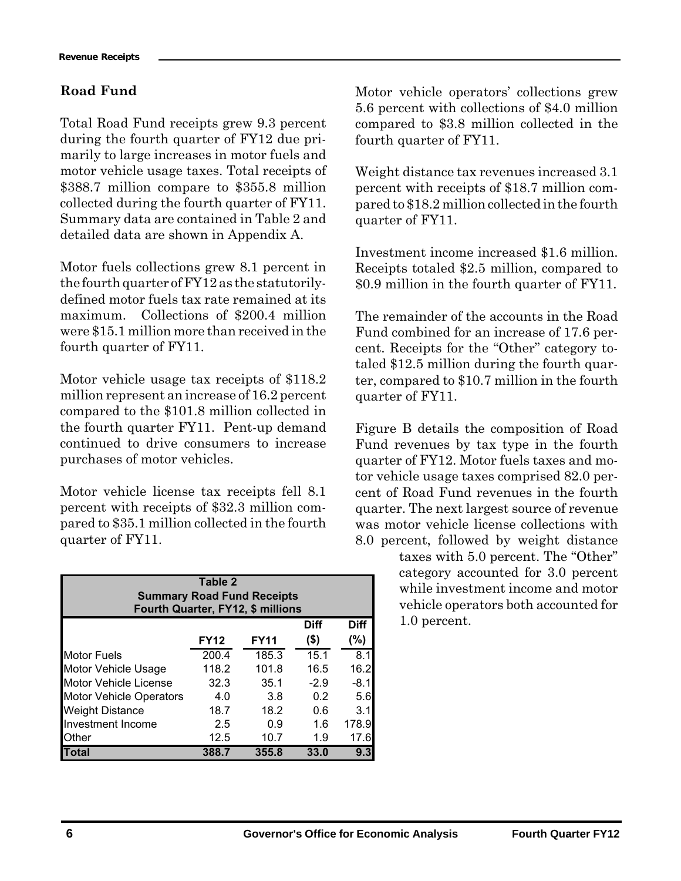## **Road Fund**

Total Road Fund receipts grew 9.3 percent during the fourth quarter of FY12 due primarily to large increases in motor fuels and motor vehicle usage taxes. Total receipts of \$388.7 million compare to \$355.8 million collected during the fourth quarter of FY11. Summary data are contained in Table 2 and detailed data are shown in Appendix A.

Motor fuels collections grew 8.1 percent in the fourth quarter of FY12 as the statutorilydefined motor fuels tax rate remained at its maximum. Collections of \$200.4 million were \$15.1 million more than received in the fourth quarter of FY11.

Motor vehicle usage tax receipts of \$118.2 million represent an increase of 16.2 percent compared to the \$101.8 million collected in the fourth quarter FY11. Pent-up demand continued to drive consumers to increase purchases of motor vehicles.

Motor vehicle license tax receipts fell 8.1 percent with receipts of \$32.3 million compared to \$35.1 million collected in the fourth quarter of FY11.

| Table 2<br><b>Summary Road Fund Receipts</b><br>Fourth Quarter, FY12, \$ millions |                                           |       |             |             |  |  |  |  |  |  |
|-----------------------------------------------------------------------------------|-------------------------------------------|-------|-------------|-------------|--|--|--|--|--|--|
|                                                                                   |                                           |       | <b>Diff</b> | <b>Diff</b> |  |  |  |  |  |  |
|                                                                                   | (\$)<br>(%)<br><b>FY12</b><br><b>FY11</b> |       |             |             |  |  |  |  |  |  |
| <b>Motor Fuels</b>                                                                | 200.4                                     | 185.3 | 15.1        | 8.1         |  |  |  |  |  |  |
| Motor Vehicle Usage                                                               | 118.2                                     | 101.8 | 16.5        | 16.2        |  |  |  |  |  |  |
| <b>Motor Vehicle License</b>                                                      | $-2.9$<br>32.3<br>35.1<br>$-8.1$          |       |             |             |  |  |  |  |  |  |
| <b>Motor Vehicle Operators</b>                                                    | 4.0                                       | 3.8   | 0.2         | 5.6         |  |  |  |  |  |  |
| <b>Weight Distance</b>                                                            | 18.7                                      | 18.2  | 0.6         | 3.1         |  |  |  |  |  |  |
| Investment Income                                                                 | 2.5                                       | 0.9   | 1.6         | 178.9       |  |  |  |  |  |  |
| <b>Other</b>                                                                      | 12.5                                      | 10.7  | 1.9         | 17.6        |  |  |  |  |  |  |
| Total                                                                             | 388.7                                     | 355.8 | 33.0        | 9.3         |  |  |  |  |  |  |

Motor vehicle operators' collections grew 5.6 percent with collections of \$4.0 million compared to \$3.8 million collected in the fourth quarter of FY11.

Weight distance tax revenues increased 3.1 percent with receipts of \$18.7 million compared to \$18.2 million collected in the fourth quarter of FY11.

Investment income increased \$1.6 million. Receipts totaled \$2.5 million, compared to \$0.9 million in the fourth quarter of FY11.

The remainder of the accounts in the Road Fund combined for an increase of 17.6 percent. Receipts for the "Other" category totaled \$12.5 million during the fourth quarter, compared to \$10.7 million in the fourth quarter of FY11.

Figure B details the composition of Road Fund revenues by tax type in the fourth quarter of FY12. Motor fuels taxes and motor vehicle usage taxes comprised 82.0 percent of Road Fund revenues in the fourth quarter. The next largest source of revenue was motor vehicle license collections with 8.0 percent, followed by weight distance

taxes with 5.0 percent. The "Other" category accounted for 3.0 percent while investment income and motor vehicle operators both accounted for 1.0 percent.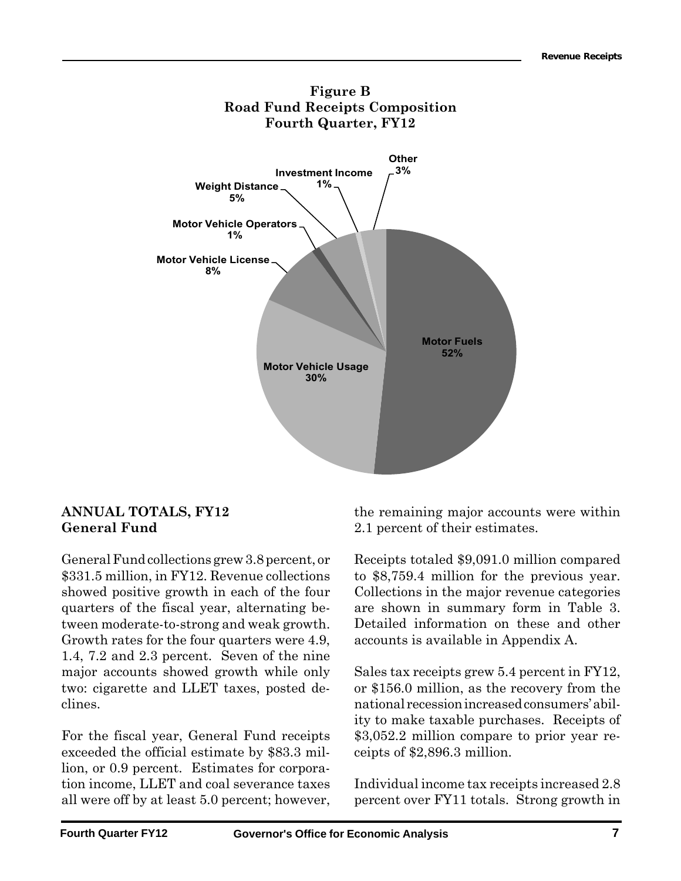

## **ANNUAL TOTALS, FY12 General Fund**

General Fund collections grew 3.8 percent, or \$331.5 million, in FY12. Revenue collections showed positive growth in each of the four quarters of the fiscal year, alternating between moderate-to-strong and weak growth. Growth rates for the four quarters were 4.9, 1.4, 7.2 and 2.3 percent. Seven of the nine major accounts showed growth while only two: cigarette and LLET taxes, posted declines.

For the fiscal year, General Fund receipts exceeded the official estimate by \$83.3 million, or 0.9 percent. Estimates for corporation income, LLET and coal severance taxes all were off by at least 5.0 percent; however, the remaining major accounts were within 2.1 percent of their estimates.

Receipts totaled \$9,091.0 million compared to \$8,759.4 million for the previous year. Collections in the major revenue categories are shown in summary form in Table 3. Detailed information on these and other accounts is available in Appendix A.

Sales tax receipts grew 5.4 percent in FY12, or \$156.0 million, as the recovery from the national recession increased consumers' ability to make taxable purchases. Receipts of \$3,052.2 million compare to prior year receipts of \$2,896.3 million.

Individual income tax receipts increased 2.8 percent over FY11 totals. Strong growth in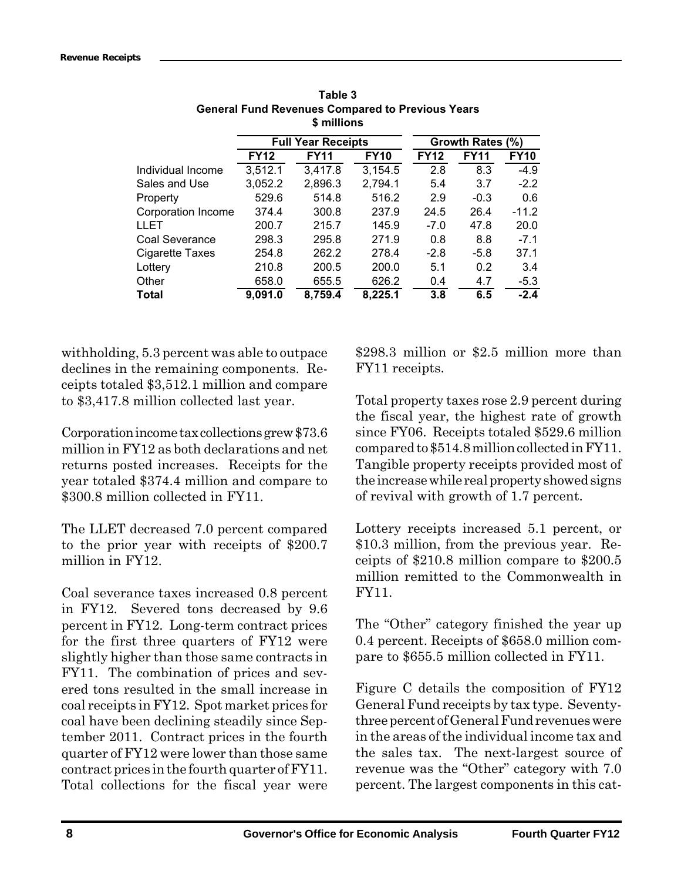|                    |             | \$ millions               |             |             |                  |             |
|--------------------|-------------|---------------------------|-------------|-------------|------------------|-------------|
|                    |             | <b>Full Year Receipts</b> |             |             | Growth Rates (%) |             |
|                    | <b>FY12</b> | <b>FY11</b>               | <b>FY10</b> | <b>FY12</b> | <b>FY11</b>      | <b>FY10</b> |
| Individual Income  | 3,512.1     | 3,417.8                   | 3,154.5     | 2.8         | 8.3              | $-4.9$      |
| Sales and Use      | 3,052.2     | 2,896.3                   | 2,794.1     | 5.4         | 3.7              | $-2.2$      |
| Property           | 529.6       | 514.8                     | 516.2       | 2.9         | $-0.3$           | 0.6         |
| Corporation Income | 374.4       | 300.8                     | 237.9       | 24.5        | 26.4             | $-11.2$     |
| LLET               | 200.7       | 215.7                     | 145.9       | $-7.0$      | 47.8             | 20.0        |
| Coal Severance     | 298.3       | 295.8                     | 271.9       | 0.8         | 8.8              | $-7.1$      |
| Cigarette Taxes    | 254.8       | 262.2                     | 278.4       | $-2.8$      | $-5.8$           | 37.1        |
| Lottery            | 210.8       | 200.5                     | 200.0       | 5.1         | 0.2              | 3.4         |
| Other              | 658.0       | 655.5                     | 626.2       | 0.4         | 4.7              | $-5.3$      |
| Total              | 9,091.0     | 8,759.4                   | 8,225.1     | 3.8         | 6.5              | $-2.4$      |

**Table 3 General Fund Revenues Compared to Previous Years \$ millions**

withholding, 5.3 percent was able to outpace declines in the remaining components. Receipts totaled \$3,512.1 million and compare to \$3,417.8 million collected last year.

Corporation income tax collections grew \$73.6 million in FY12 as both declarations and net returns posted increases. Receipts for the year totaled \$374.4 million and compare to \$300.8 million collected in FY11.

The LLET decreased 7.0 percent compared to the prior year with receipts of \$200.7 million in FY12.

Coal severance taxes increased 0.8 percent in FY12. Severed tons decreased by 9.6 percent in FY12. Long-term contract prices for the first three quarters of FY12 were slightly higher than those same contracts in FY11. The combination of prices and severed tons resulted in the small increase in coal receipts in FY12. Spot market prices for coal have been declining steadily since September 2011. Contract prices in the fourth quarter of FY12 were lower than those same contract prices in the fourth quarter of FY11. Total collections for the fiscal year were

\$298.3 million or \$2.5 million more than FY11 receipts.

Total property taxes rose 2.9 percent during the fiscal year, the highest rate of growth since FY06. Receipts totaled \$529.6 million compared to \$514.8 million collected in FY11. Tangible property receipts provided most of the increase while real property showed signs of revival with growth of 1.7 percent.

Lottery receipts increased 5.1 percent, or \$10.3 million, from the previous year. Receipts of \$210.8 million compare to \$200.5 million remitted to the Commonwealth in FY11.

The "Other" category finished the year up 0.4 percent. Receipts of \$658.0 million compare to \$655.5 million collected in FY11.

Figure C details the composition of FY12 General Fund receipts by tax type. Seventythree percent of General Fund revenues were in the areas of the individual income tax and the sales tax. The next-largest source of revenue was the "Other" category with 7.0 percent. The largest components in this cat-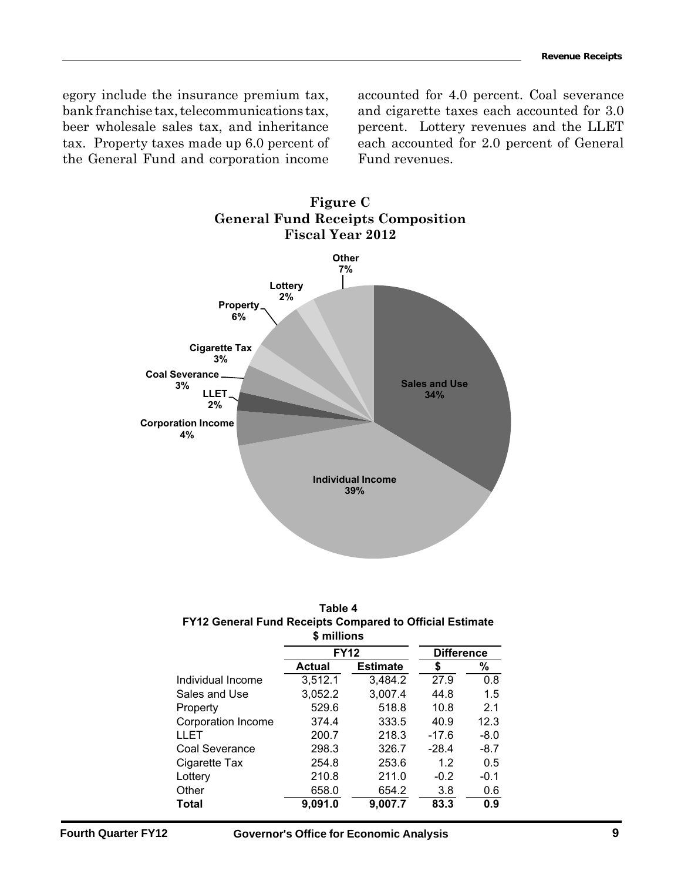beer wholesale sales tax, and inheritance percent. Lottery revenues and the LLET egory include the insurance premium tax, bank franchise tax, telecommunications tax, beer wholesale sales tax, and inheritance tax. Property taxes made up 6.0 percent of the General Fund and corporation income

accounted for 4.0 percent. Coal severance and cigarette taxes each accounted for 3.0 each accounted for 2.0 percent of General Fund revenues.



| Table 4                                                  |
|----------------------------------------------------------|
| FY12 General Fund Receipts Compared to Official Estimate |
| <b>S</b> millions                                        |

|                    | <b>FY12</b> | <b>Difference</b> |         |        |
|--------------------|-------------|-------------------|---------|--------|
|                    | Actual      | <b>Estimate</b>   | \$      | %      |
| Individual Income  | 3,512.1     | 3,484.2           | 27.9    | 0.8    |
| Sales and Use      | 3,052.2     | 3,007.4           | 44.8    | 1.5    |
| Property           | 529.6       | 518.8             | 10.8    | 2.1    |
| Corporation Income | 374.4       | 333.5             | 40.9    | 12.3   |
| LLET               | 200.7       | 218.3             | $-17.6$ | $-8.0$ |
| Coal Severance     | 298.3       | 326.7             | $-28.4$ | $-8.7$ |
| Cigarette Tax      | 254.8       | 253.6             | 1.2     | 0.5    |
| Lottery            | 210.8       | 211.0             | $-0.2$  | $-0.1$ |
| Other              | 658.0       | 654.2             | 3.8     | 0.6    |
| Total              | 9,091.0     | 9,007.7           | 83.3    | 0.9    |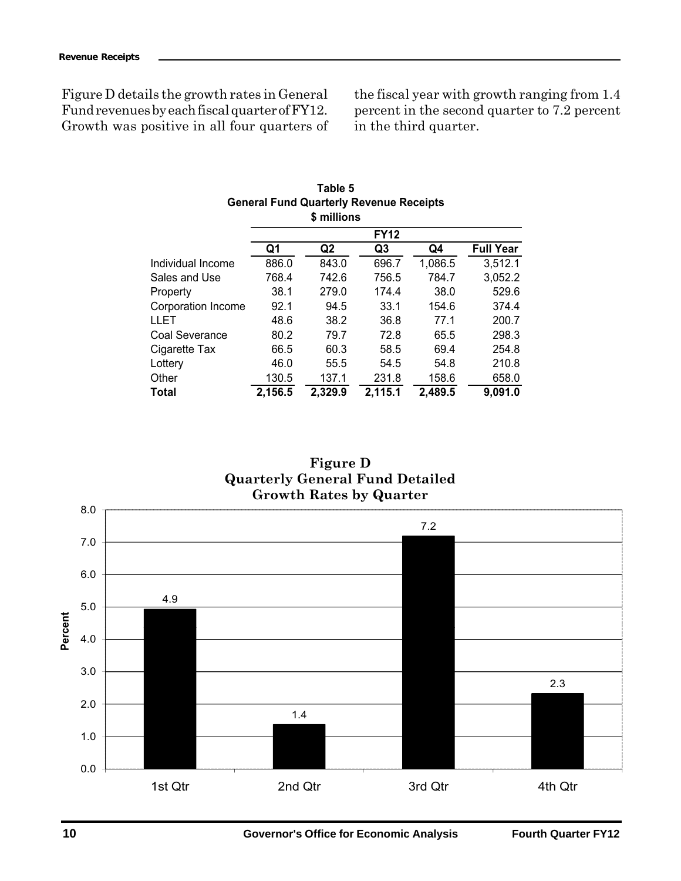Figure D details the growth rates in General Fund revenues by each fiscal quarter of FY12. Growth was positive in all four quarters of

the fiscal year with growth ranging from 1.4 percent in the second quarter to 7.2 percent in the third quarter.

| Table 5<br><b>General Fund Quarterly Revenue Receipts</b><br>\$ millions |         |                |             |         |                  |  |  |  |
|--------------------------------------------------------------------------|---------|----------------|-------------|---------|------------------|--|--|--|
|                                                                          |         |                | <b>FY12</b> |         |                  |  |  |  |
|                                                                          | Q1      | Q <sub>2</sub> | Q3          | Q4      | <b>Full Year</b> |  |  |  |
| Individual Income                                                        | 886.0   | 843.0          | 696.7       | 1,086.5 | 3,512.1          |  |  |  |
| Sales and Use                                                            | 768.4   | 742.6          | 756.5       | 784.7   | 3,052.2          |  |  |  |
| Property                                                                 | 38.1    | 279.0          | 174.4       | 38.0    | 529.6            |  |  |  |
| Corporation Income                                                       | 92.1    | 94.5           | 33.1        | 154.6   | 374.4            |  |  |  |
| LLET                                                                     | 48.6    | 38.2           | 36.8        | 77.1    | 200.7            |  |  |  |
| Coal Severance                                                           | 80.2    | 79.7           | 72.8        | 65.5    | 298.3            |  |  |  |
| Cigarette Tax                                                            | 66.5    | 60.3           | 58.5        | 69.4    | 254.8            |  |  |  |
| Lottery                                                                  | 46.0    | 55.5           | 54.5        | 54.8    | 210.8            |  |  |  |
| Other                                                                    | 130.5   | 137.1          | 231.8       | 158.6   | 658.0            |  |  |  |
| Total                                                                    | 2,156.5 | 2,329.9        | 2,115.1     | 2,489.5 | 9,091.0          |  |  |  |

| <b>Figure D</b>                 |
|---------------------------------|
| Quarterly General Fund Detailed |
| <b>Growth Rates by Quarter</b>  |

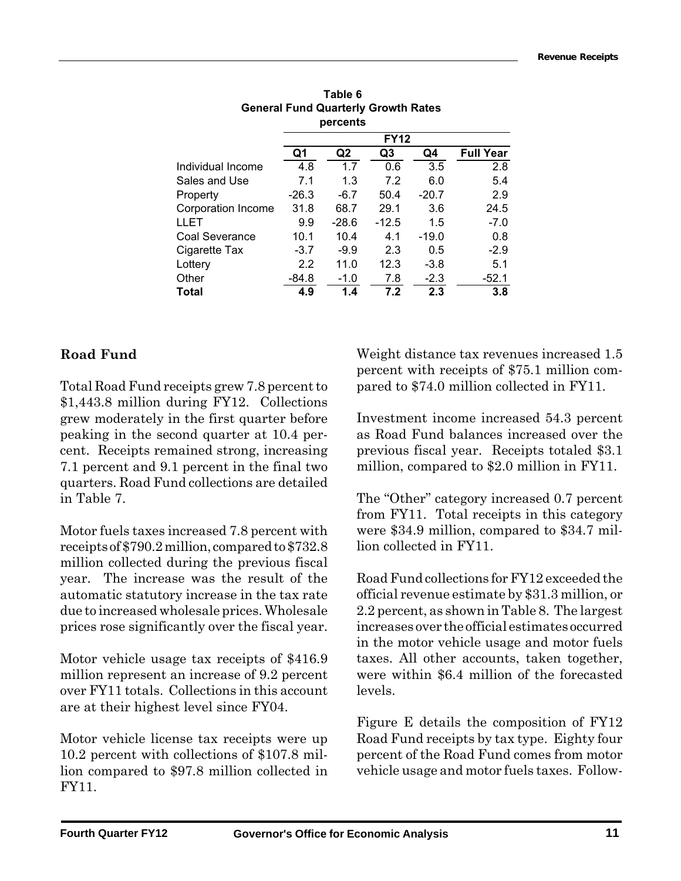|                    |         | percents       |                |         |                  |  |
|--------------------|---------|----------------|----------------|---------|------------------|--|
|                    |         | <b>FY12</b>    |                |         |                  |  |
|                    | Q1      | Q <sub>2</sub> | Q <sub>3</sub> | Q4      | <b>Full Year</b> |  |
| Individual Income  | 4.8     | 1.7            | 0.6            | 3.5     | 2.8              |  |
| Sales and Use      | 7.1     | 1.3            | 7.2            | 6.0     | 5.4              |  |
| Property           | $-26.3$ | $-6.7$         | 50.4           | $-20.7$ | 2.9              |  |
| Corporation Income | 31.8    | 68.7           | 29.1           | 3.6     | 24.5             |  |
| LLET               | 9.9     | $-28.6$        | $-12.5$        | 1.5     | $-7.0$           |  |
| Coal Severance     | 10.1    | 10.4           | 4.1            | $-19.0$ | 0.8              |  |
| Cigarette Tax      | $-3.7$  | $-9.9$         | 2.3            | 0.5     | $-2.9$           |  |
| Lottery            | 2.2     | 11.0           | 12.3           | $-3.8$  | 5.1              |  |
| Other              | -84.8   | $-1.0$         | 7.8            | $-2.3$  | $-52.1$          |  |
| <b>Total</b>       | 4.9     | 1.4            | 7.2            | 2.3     | 3.8              |  |

**Table 6 General Fund Quarterly Growth Rates percents**

## **Road Fund**

Total Road Fund receipts grew 7.8 percent to \$1,443.8 million during FY12. Collections grew moderately in the first quarter before peaking in the second quarter at 10.4 percent. Receipts remained strong, increasing 7.1 percent and 9.1 percent in the final two quarters. Road Fund collections are detailed in Table 7.

Motor fuels taxes increased 7.8 percent with receipts of \$790.2 million, compared to \$732.8 million collected during the previous fiscal year. The increase was the result of the automatic statutory increase in the tax rate due to increased wholesale prices. Wholesale prices rose significantly over the fiscal year.

Motor vehicle usage tax receipts of \$416.9 million represent an increase of 9.2 percent over FY11 totals. Collections in this account are at their highest level since FY04.

Motor vehicle license tax receipts were up 10.2 percent with collections of \$107.8 million compared to \$97.8 million collected in FY11.

Weight distance tax revenues increased 1.5 percent with receipts of \$75.1 million compared to \$74.0 million collected in FY11.

Investment income increased 54.3 percent as Road Fund balances increased over the previous fiscal year. Receipts totaled \$3.1 million, compared to \$2.0 million in FY11.

The "Other" category increased 0.7 percent from FY11. Total receipts in this category were \$34.9 million, compared to \$34.7 million collected in FY11.

Road Fund collections for FY12 exceeded the official revenue estimate by \$31.3 million, or 2.2 percent, as shown in Table 8. The largest increases over the official estimates occurred in the motor vehicle usage and motor fuels taxes. All other accounts, taken together, were within \$6.4 million of the forecasted levels.

Figure E details the composition of FY12 Road Fund receipts by tax type. Eighty four percent of the Road Fund comes from motor vehicle usage and motor fuels taxes. Follow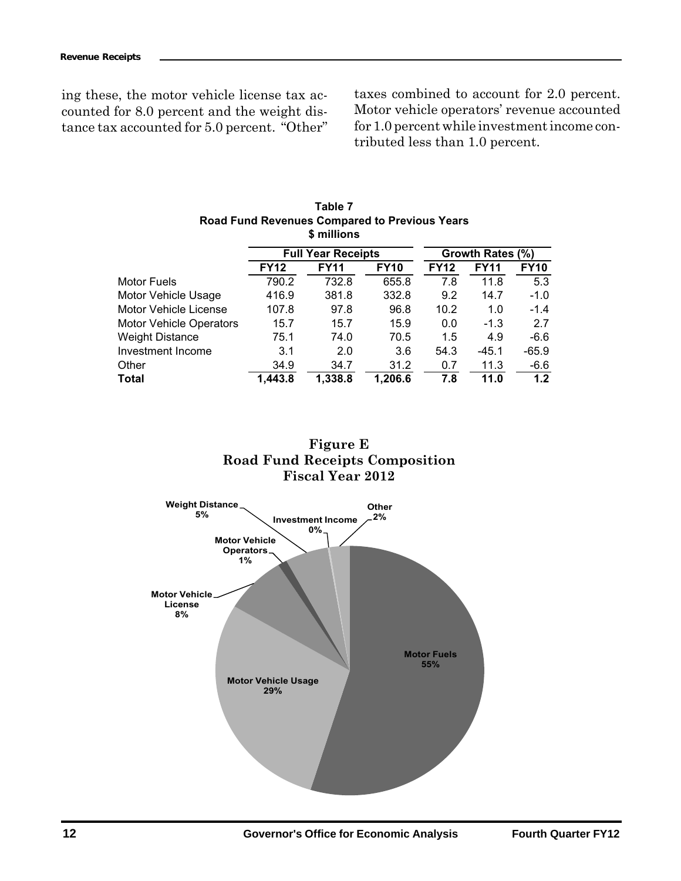ing these, the motor vehicle license tax accounted for 8.0 percent and the weight distance tax accounted for 5.0 percent. "Other"

taxes combined to account for 2.0 percent. Motor vehicle operators' revenue accounted for 1.0 percent while investment income contributed less than 1.0 percent.

| <b>Road Fund Revenues Compared to Previous Years</b><br>\$ millions |                           |             |             |             |             |                  |  |  |  |
|---------------------------------------------------------------------|---------------------------|-------------|-------------|-------------|-------------|------------------|--|--|--|
|                                                                     | <b>Full Year Receipts</b> |             |             |             |             | Growth Rates (%) |  |  |  |
|                                                                     | <b>FY12</b>               | <b>FY11</b> | <b>FY10</b> | <b>FY12</b> | <b>FY11</b> | <b>FY10</b>      |  |  |  |
| Motor Fuels                                                         | 790.2                     | 732.8       | 655.8       | 7.8         | 11.8        | 5.3              |  |  |  |
| Motor Vehicle Usage                                                 | 416.9                     | 381.8       | 332.8       | 9.2         | 14.7        | $-1.0$           |  |  |  |
| Motor Vehicle License                                               | 107.8                     | 97.8        | 96.8        | 10.2        | 1.0         | $-1.4$           |  |  |  |
| <b>Motor Vehicle Operators</b>                                      | 15.7                      | 15.7        | 15.9        | 0.0         | $-1.3$      | 2.7              |  |  |  |
| <b>Weight Distance</b>                                              | 75.1                      | 74.0        | 70.5        | 1.5         | 4.9         | $-6.6$           |  |  |  |
| Investment Income                                                   | 3.1                       | 2.0         | 3.6         | 54.3        | $-45.1$     | $-65.9$          |  |  |  |
| Other                                                               | 34.9                      | 34.7        | 31.2        | 0.7         | 11.3        | -6.6             |  |  |  |
| Total                                                               | 1,443.8                   | 1.338.8     | 1,206.6     | 7.8         | 11.0        | 1.2              |  |  |  |

# **Table 7**



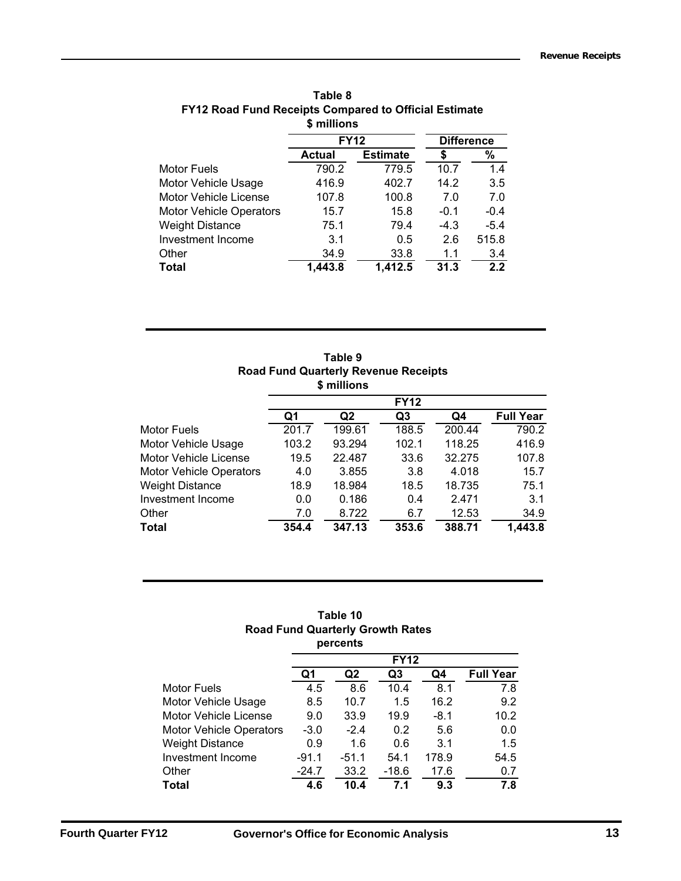|                                | <b>FY12</b> |                 | <b>Difference</b> |        |
|--------------------------------|-------------|-----------------|-------------------|--------|
|                                | Actual      | <b>Estimate</b> |                   | %      |
| Motor Fuels                    | 790.2       | 779.5           | 10.7              | 1.4    |
| Motor Vehicle Usage            | 416.9       | 402.7           | 14.2              | 3.5    |
| Motor Vehicle License          | 107.8       | 100.8           | 7.0               | 7.0    |
| <b>Motor Vehicle Operators</b> | 15.7        | 15.8            | $-0.1$            | $-0.4$ |
| <b>Weight Distance</b>         | 75.1        | 79.4            | $-4.3$            | $-5.4$ |
| Investment Income              | 3.1         | 0.5             | 2.6               | 515.8  |
| Other                          | 34.9        | 33.8            | 1.1               | 3.4    |
| Total                          | 1,443.8     | 1,412.5         | 31.3              | 2.2    |
|                                |             |                 | \$ millions       |        |

| Table 8                                                      |
|--------------------------------------------------------------|
| <b>FY12 Road Fund Receipts Compared to Official Estimate</b> |
| \$ millions                                                  |

| Table 9                                     |
|---------------------------------------------|
| <b>Road Fund Quarterly Revenue Receipts</b> |
| \$ millions                                 |

|                                |       |        | <b>FY12</b> |        |                  |
|--------------------------------|-------|--------|-------------|--------|------------------|
|                                | Q1    | Q2     | Q3          | Q4     | <b>Full Year</b> |
| Motor Fuels                    | 201.7 | 199.61 | 188.5       | 200.44 | 790.2            |
| Motor Vehicle Usage            | 103.2 | 93.294 | 102.1       | 118.25 | 416.9            |
| <b>Motor Vehicle License</b>   | 19.5  | 22.487 | 33.6        | 32.275 | 107.8            |
| <b>Motor Vehicle Operators</b> | 4.0   | 3.855  | 3.8         | 4.018  | 15.7             |
| <b>Weight Distance</b>         | 18.9  | 18.984 | 18.5        | 18.735 | 75.1             |
| Investment Income              | 0.0   | 0.186  | 0.4         | 2.471  | 3.1              |
| Other                          | 7.0   | 8.722  | 6.7         | 12.53  | 34.9             |
| <b>Total</b>                   | 354.4 | 347.13 | 353.6       | 388.71 | 1,443.8          |

### **Table 10 Road Fund Quarterly Growth Rates percents**

|                                |         | .       |             |        |                  |
|--------------------------------|---------|---------|-------------|--------|------------------|
|                                |         |         | <b>FY12</b> |        |                  |
|                                | Q1      | Q2      | Q3          | Q4     | <b>Full Year</b> |
| <b>Motor Fuels</b>             | 4.5     | 8.6     | 10.4        | 8.1    | 7.8              |
| Motor Vehicle Usage            | 8.5     | 10.7    | 1.5         | 16.2   | 9.2              |
| <b>Motor Vehicle License</b>   | 9.0     | 33.9    | 19.9        | $-8.1$ | 10.2             |
| <b>Motor Vehicle Operators</b> | $-3.0$  | $-2.4$  | 0.2         | 5.6    | 0.0              |
| <b>Weight Distance</b>         | 0.9     | 1.6     | 0.6         | 3.1    | 1.5              |
| Investment Income              | $-91.1$ | $-51.1$ | 54.1        | 178.9  | 54.5             |
| Other                          | $-24.7$ | 33.2    | $-18.6$     | 17.6   | 0.7              |
| <b>Total</b>                   | 4.6     | 10.4    | 7.1         | 9.3    | 7.8              |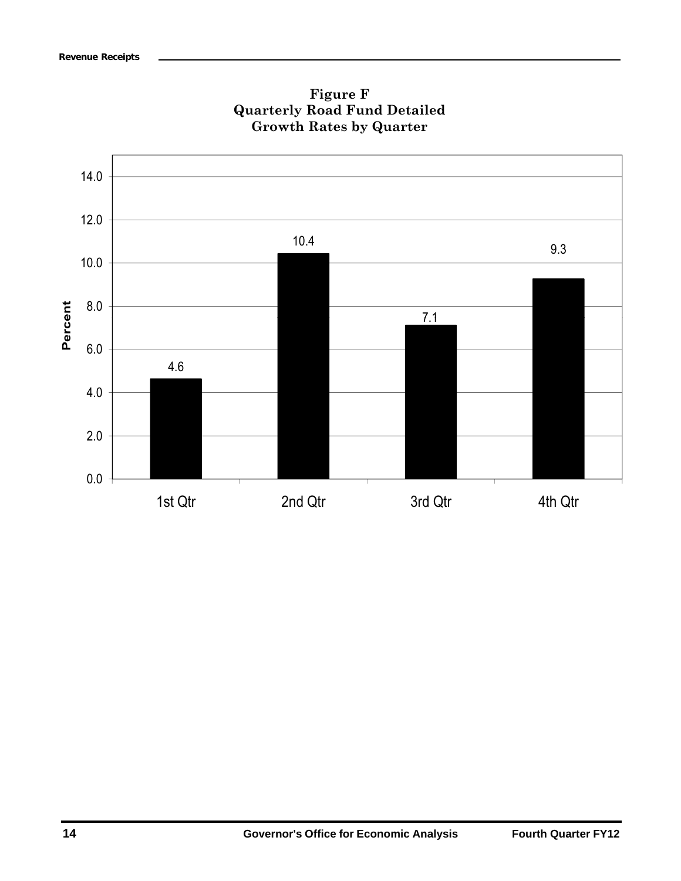

**Figure F Quarterly Road Fund Detailed Growth Rates by Quarter**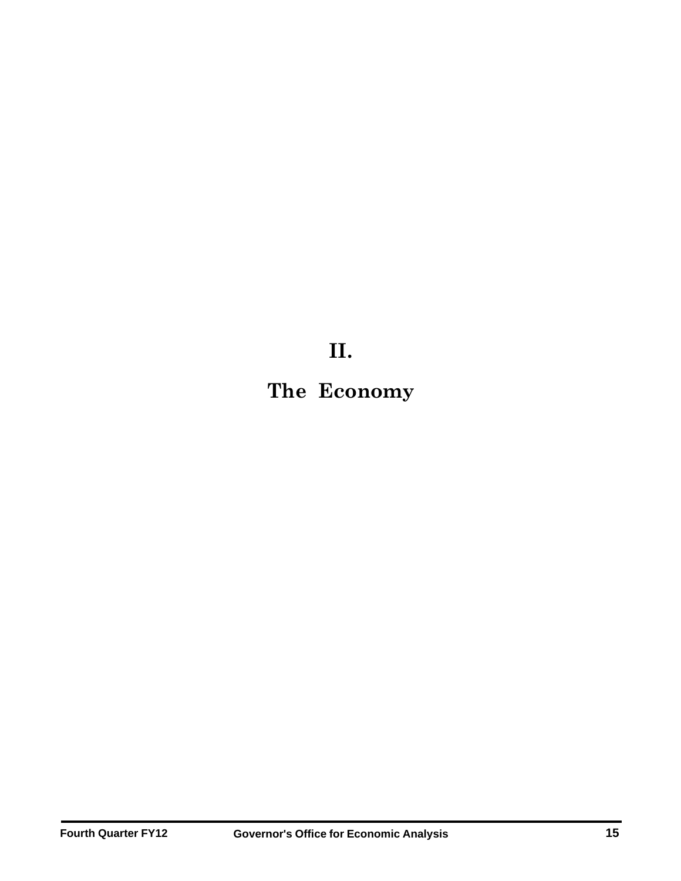**II.**

**The Economy**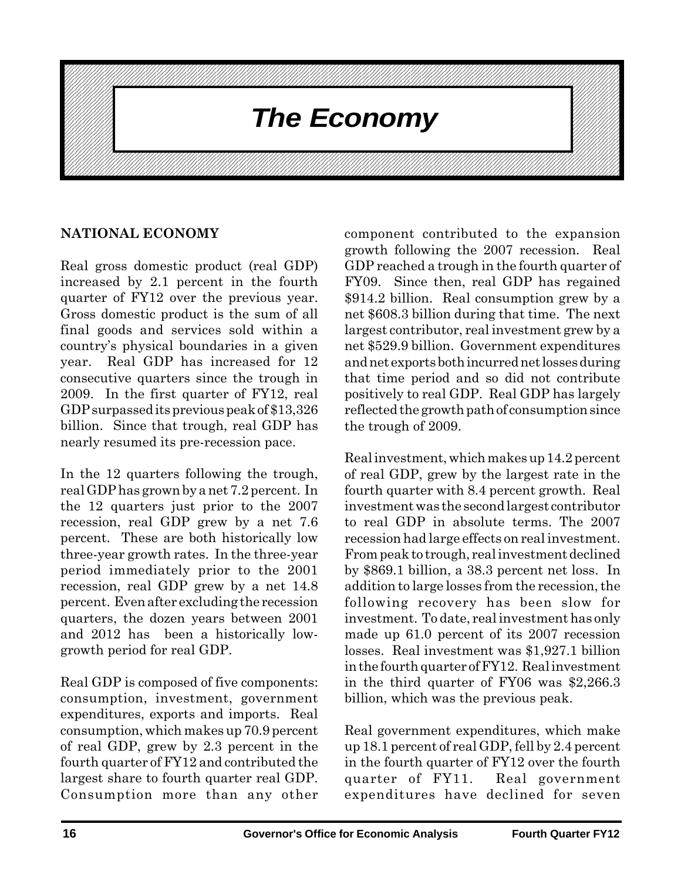

## **NATIONAL ECONOMY**

Real gross domestic product (real GDP) increased by 2.1 percent in the fourth quarter of FY12 over the previous year. Gross domestic product is the sum of all final goods and services sold within a country's physical boundaries in a given year. Real GDP has increased for 12 consecutive quarters since the trough in 2009. In the first quarter of FY12, real GDP surpassed its previous peak of \$13,326 billion. Since that trough, real GDP has nearly resumed its pre-recession pace.

In the 12 quarters following the trough, real GDP has grown by a net 7.2 percent. In the 12 quarters just prior to the 2007 recession, real GDP grew by a net 7.6 percent. These are both historically low three-year growth rates. In the three-year period immediately prior to the 2001 recession, real GDP grew by a net 14.8 percent. Even after excluding the recession quarters, the dozen years between 2001 and 2012 has been a historically lowgrowth period for real GDP.

Real GDP is composed of five components: consumption, investment, government expenditures, exports and imports. Real consumption, which makes up 70.9 percent of real GDP, grew by 2.3 percent in the fourth quarter of FY12 and contributed the largest share to fourth quarter real GDP. Consumption more than any other component contributed to the expansion growth following the 2007 recession. Real GDP reached a trough in the fourth quarter of FY09. Since then, real GDP has regained \$914.2 billion. Real consumption grew by a net \$608.3 billion during that time. The next largest contributor, real investment grew by a net \$529.9 billion. Government expenditures and net exports both incurred net losses during that time period and so did not contribute positively to real GDP. Real GDP has largely reflected the growth path of consumption since the trough of 2009.

Real investment, which makes up 14.2 percent of real GDP, grew by the largest rate in the fourth quarter with 8.4 percent growth. Real investment was the second largest contributor to real GDP in absolute terms. The 2007 recession had large effects on real investment. From peak to trough, real investment declined by \$869.1 billion, a 38.3 percent net loss. In addition to large losses from the recession, the following recovery has been slow for investment. To date, real investment has only made up 61.0 percent of its 2007 recession losses. Real investment was \$1,927.1 billion in the fourth quarter of FY12. Real investment in the third quarter of FY06 was \$2,266.3 billion, which was the previous peak.

Real government expenditures, which make up 18.1 percent of real GDP, fell by 2.4 percent in the fourth quarter of FY12 over the fourth quarter of FY11. Real government expenditures have declined for seven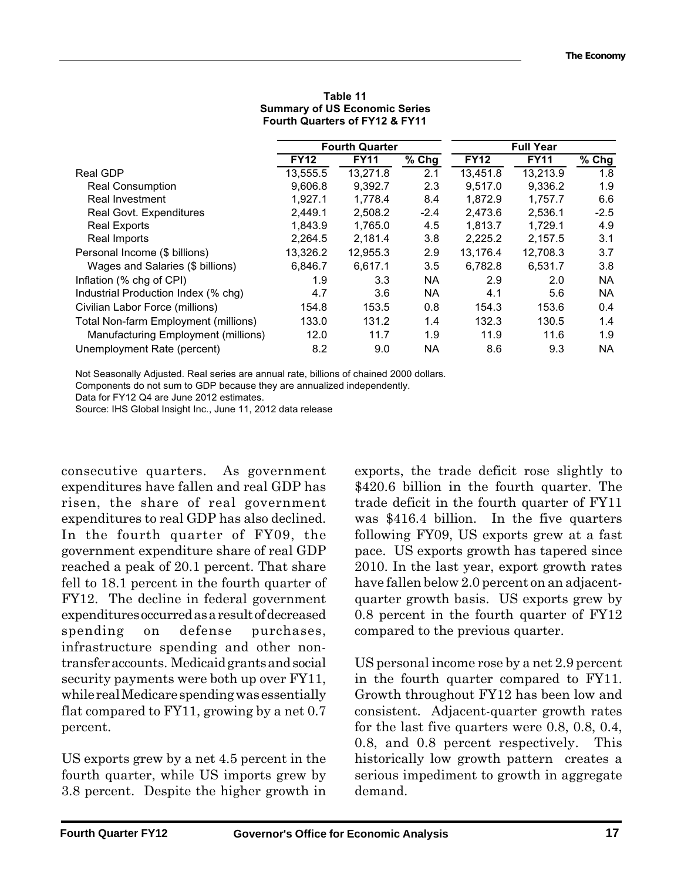|                                             | <b>Fourth Quarter</b> |             |           | <b>Full Year</b> |             |                     |
|---------------------------------------------|-----------------------|-------------|-----------|------------------|-------------|---------------------|
|                                             | <b>FY12</b>           | <b>FY11</b> | $%$ Chg   | <b>FY12</b>      | <b>FY11</b> | $\overline{\%}$ Chg |
| <b>Real GDP</b>                             | 13,555.5              | 13,271.8    | 2.1       | 13,451.8         | 13,213.9    | 1.8                 |
| <b>Real Consumption</b>                     | 9,606.8               | 9.392.7     | 2.3       | 9,517.0          | 9,336.2     | 1.9                 |
| Real Investment                             | 1.927.1               | 1.778.4     | 8.4       | 1,872.9          | 1.757.7     | 6.6                 |
| Real Govt. Expenditures                     | 2,449.1               | 2,508.2     | $-2.4$    | 2,473.6          | 2,536.1     | $-2.5$              |
| <b>Real Exports</b>                         | 1,843.9               | 1.765.0     | 4.5       | 1,813.7          | 1.729.1     | 4.9                 |
| Real Imports                                | 2,264.5               | 2.181.4     | 3.8       | 2,225.2          | 2.157.5     | 3.1                 |
| Personal Income (\$ billions)               | 13,326.2              | 12.955.3    | 2.9       | 13,176.4         | 12.708.3    | 3.7                 |
| Wages and Salaries (\$ billions)            | 6,846.7               | 6.617.1     | 3.5       | 6.782.8          | 6.531.7     | 3.8                 |
| Inflation (% chg of CPI)                    | 1.9                   | 3.3         | <b>NA</b> | 2.9              | 2.0         | <b>NA</b>           |
| Industrial Production Index (% chg)         | 4.7                   | 3.6         | <b>NA</b> | 4.1              | 5.6         | <b>NA</b>           |
| Civilian Labor Force (millions)             | 154.8                 | 153.5       | 0.8       | 154.3            | 153.6       | 0.4                 |
| <b>Total Non-farm Employment (millions)</b> | 133.0                 | 131.2       | 1.4       | 132.3            | 130.5       | 1.4                 |
| Manufacturing Employment (millions)         | 12.0                  | 11.7        | 1.9       | 11.9             | 11.6        | 1.9                 |
| Unemployment Rate (percent)                 | 8.2                   | 9.0         | NA.       | 8.6              | 9.3         | NA.                 |

#### **FOUTH QUARTERS OF FIT IZ & FITT Table 11 Summary of US Economic Series Fourth Quarters of FY12 & FY11**

Not Seasonally Adjusted. Real series are annual rate, billions of chained 2000 dollars.

Components do not sum to GDP because they are annualized independently.

Data for FY12 Q4 are June 2012 estimates.

Source: IHS Global Insight Inc., June 11, 2012 data release

consecutive quarters. As government expenditures have fallen and real GDP has risen, the share of real government expenditures to real GDP has also declined. In the fourth quarter of FY09, the government expenditure share of real GDP reached a peak of 20.1 percent. That share fell to 18.1 percent in the fourth quarter of FY12. The decline in federal government expenditures occurred as a result of decreased spending on defense purchases, infrastructure spending and other nontransfer accounts. Medicaid grants and social security payments were both up over FY11, while real Medicare spending was essentially flat compared to FY11, growing by a net 0.7 percent.

US exports grew by a net 4.5 percent in the fourth quarter, while US imports grew by 3.8 percent. Despite the higher growth in exports, the trade deficit rose slightly to \$420.6 billion in the fourth quarter. The trade deficit in the fourth quarter of FY11 was \$416.4 billion. In the five quarters following FY09, US exports grew at a fast pace. US exports growth has tapered since 2010. In the last year, export growth rates have fallen below 2.0 percent on an adjacentquarter growth basis. US exports grew by 0.8 percent in the fourth quarter of FY12 compared to the previous quarter.

US personal income rose by a net 2.9 percent in the fourth quarter compared to FY11. Growth throughout FY12 has been low and consistent. Adjacent-quarter growth rates for the last five quarters were 0.8, 0.8, 0.4, 0.8, and 0.8 percent respectively. This historically low growth pattern creates a serious impediment to growth in aggregate demand.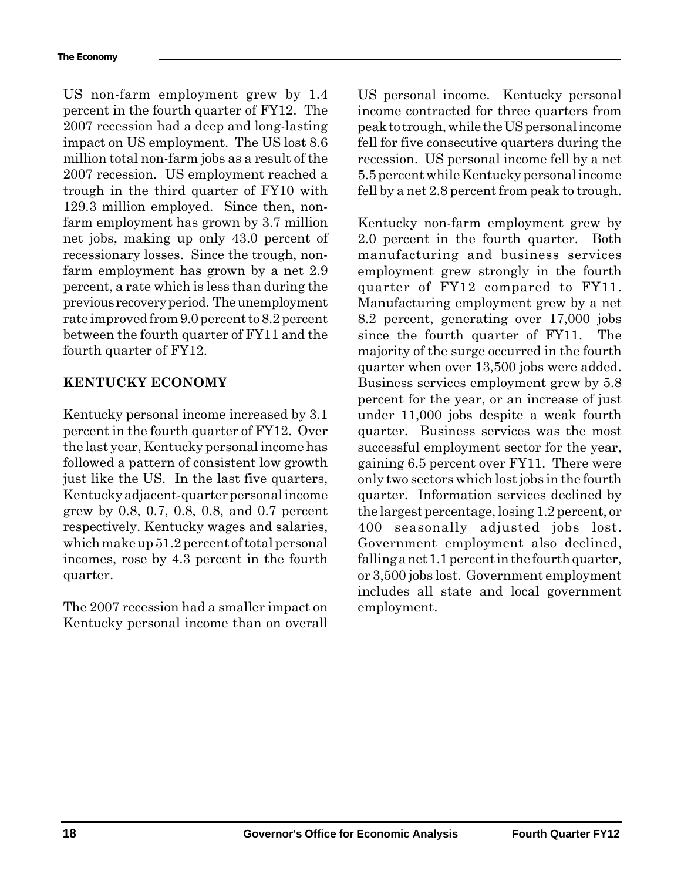US non-farm employment grew by 1.4 percent in the fourth quarter of FY12. The 2007 recession had a deep and long-lasting impact on US employment. The US lost 8.6 million total non-farm jobs as a result of the 2007 recession. US employment reached a trough in the third quarter of FY10 with 129.3 million employed. Since then, nonfarm employment has grown by 3.7 million net jobs, making up only 43.0 percent of recessionary losses. Since the trough, nonfarm employment has grown by a net 2.9 percent, a rate which is less than during the previous recovery period. The unemployment rate improved from 9.0 percent to 8.2 percent between the fourth quarter of FY11 and the fourth quarter of FY12.

## **KENTUCKY ECONOMY**

Kentucky personal income increased by 3.1 percent in the fourth quarter of FY12. Over the last year, Kentucky personal income has followed a pattern of consistent low growth just like the US. In the last five quarters, Kentucky adjacent-quarter personal income grew by 0.8, 0.7, 0.8, 0.8, and 0.7 percent respectively. Kentucky wages and salaries, which make up 51.2 percent of total personal incomes, rose by 4.3 percent in the fourth quarter.

The 2007 recession had a smaller impact on Kentucky personal income than on overall US personal income. Kentucky personal income contracted for three quarters from peak to trough, while the US personal income fell for five consecutive quarters during the recession. US personal income fell by a net 5.5 percent while Kentucky personal income fell by a net 2.8 percent from peak to trough.

Kentucky non-farm employment grew by 2.0 percent in the fourth quarter. Both manufacturing and business services employment grew strongly in the fourth quarter of FY12 compared to FY11. Manufacturing employment grew by a net 8.2 percent, generating over 17,000 jobs since the fourth quarter of FY11. The majority of the surge occurred in the fourth quarter when over 13,500 jobs were added. Business services employment grew by 5.8 percent for the year, or an increase of just under 11,000 jobs despite a weak fourth quarter. Business services was the most successful employment sector for the year, gaining 6.5 percent over FY11. There were only two sectors which lost jobs in the fourth quarter. Information services declined by the largest percentage, losing 1.2 percent, or 400 seasonally adjusted jobs lost. Government employment also declined, falling a net 1.1 percent in the fourth quarter, or 3,500 jobs lost. Government employment includes all state and local government employment.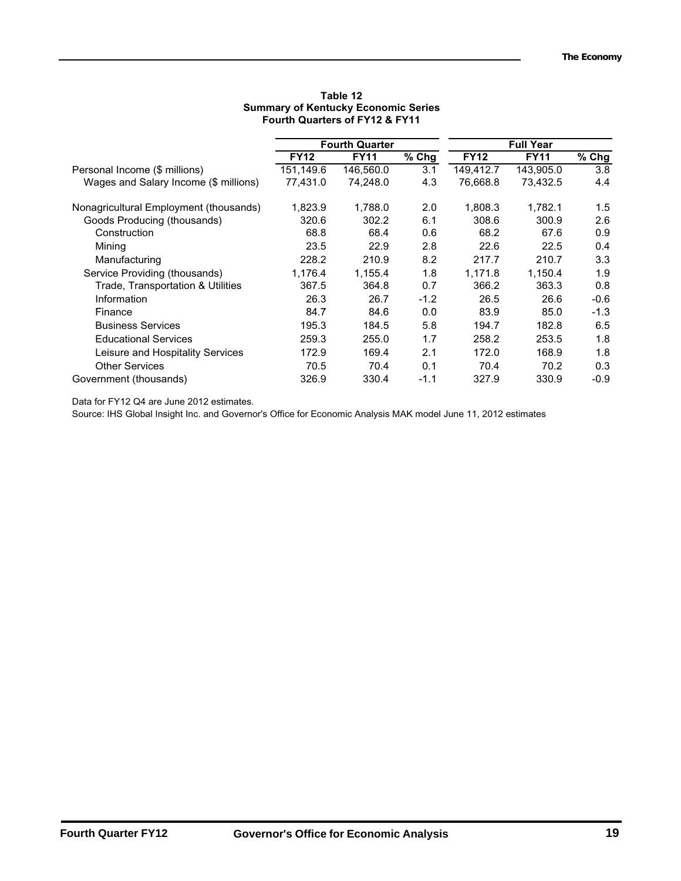|                                        |             | <b>Fourth Quarter</b> |         | <b>Full Year</b> |             |                     |
|----------------------------------------|-------------|-----------------------|---------|------------------|-------------|---------------------|
|                                        | <b>FY12</b> | <b>FY11</b>           | $%$ Chg | <b>FY12</b>      | <b>FY11</b> | $\overline{\%}$ Chg |
| Personal Income (\$ millions)          | 151.149.6   | 146,560.0             | 3.1     | 149,412.7        | 143,905.0   | 3.8                 |
| Wages and Salary Income (\$ millions)  | 77.431.0    | 74.248.0              | 4.3     | 76,668.8         | 73,432.5    | 4.4                 |
| Nonagricultural Employment (thousands) | 1,823.9     | 1,788.0               | 2.0     | 1,808.3          | 1,782.1     | 1.5                 |
| Goods Producing (thousands)            | 320.6       | 302.2                 | 6.1     | 308.6            | 300.9       | 2.6                 |
| Construction                           | 68.8        | 68.4                  | 0.6     | 68.2             | 67.6        | 0.9                 |
| Mining                                 | 23.5        | 22.9                  | 2.8     | 22.6             | 22.5        | 0.4                 |
| Manufacturing                          | 228.2       | 210.9                 | 8.2     | 217.7            | 210.7       | 3.3                 |
| Service Providing (thousands)          | 1,176.4     | 1,155.4               | 1.8     | 1,171.8          | 1.150.4     | 1.9                 |
| Trade, Transportation & Utilities      | 367.5       | 364.8                 | 0.7     | 366.2            | 363.3       | 0.8                 |
| Information                            | 26.3        | 26.7                  | $-1.2$  | 26.5             | 26.6        | $-0.6$              |
| Finance                                | 84.7        | 84.6                  | 0.0     | 83.9             | 85.0        | $-1.3$              |
| <b>Business Services</b>               | 195.3       | 184.5                 | 5.8     | 194.7            | 182.8       | 6.5                 |
| <b>Educational Services</b>            | 259.3       | 255.0                 | 1.7     | 258.2            | 253.5       | 1.8                 |
| Leisure and Hospitality Services       | 172.9       | 169.4                 | 2.1     | 172.0            | 168.9       | 1.8                 |
| <b>Other Services</b>                  | 70.5        | 70.4                  | 0.1     | 70.4             | 70.2        | 0.3                 |
| Government (thousands)                 | 326.9       | 330.4                 | $-1.1$  | 327.9            | 330.9       | $-0.9$              |

#### **Quarterly Contributed British Concernsive Report First Quarter 2007 Table 12 Summary of Kentucky Economic Series Fourth Quarters of FY12 & FY11**

Data for FY12 Q4 are June 2012 estimates.

Source: IHS Global Insight Inc. and Governor's Office for Economic Analysis MAK model June 11, 2012 estimates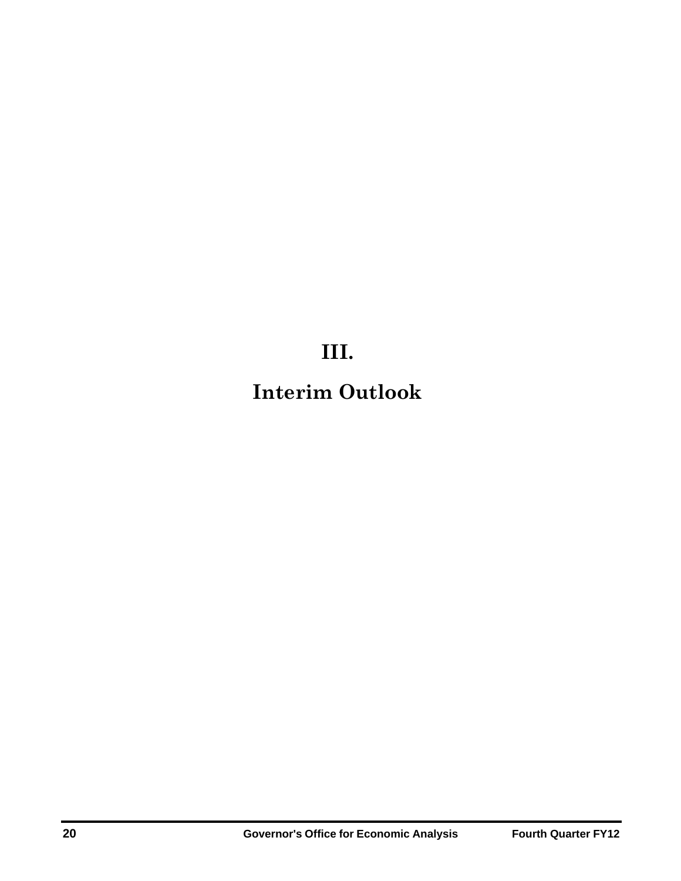## **III.**

## **Interim Outlook**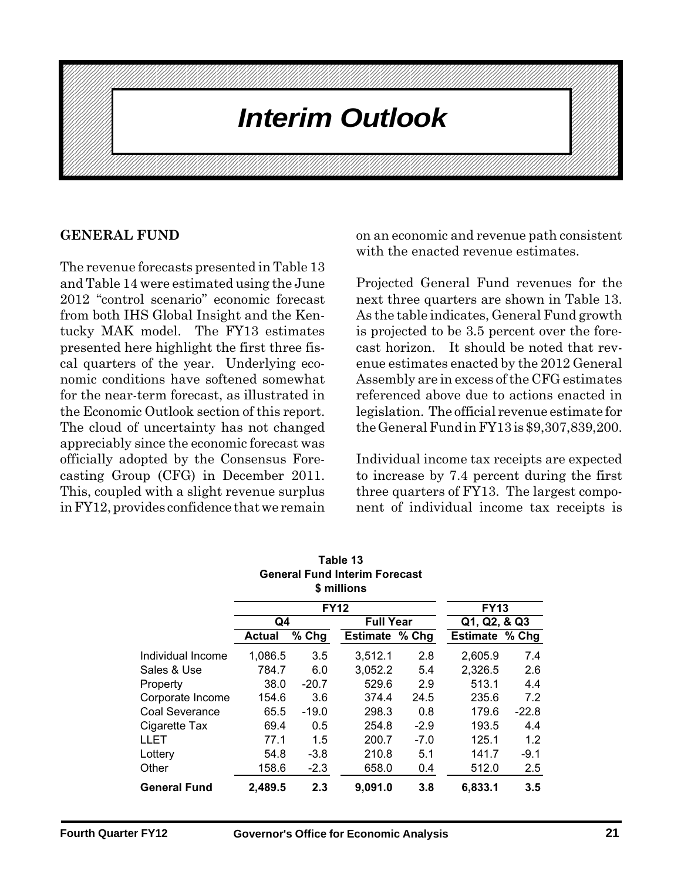#### **THEFIT VANUARE REVENE REVENUE REVENUE REPORT FIRST AND REPORT FIRST AND REPORT FIRST AND REPORT FIRST AND REPORT FIRST AND REPORT FIRST AND REPORT FIRST AND REPORT FIRST AND REPORT FIRST AND REPORT FIRST AND REPORT FIRST** 1234567890123456789012345678901212345678901234567890123456789012123456789012345678901234567890121234567890123456789012345678901212345678901234567890123 **Anterim Outlook Arrival Contract Contract Contract Contract Contract Contract Contract Contract Contract Contract Contract Contract Contract Contract Contract Contract Contract Contract Contract Contract Contract Contract** 1234567890123456789012345678901212345678901234567890123456789012123456789012345678901234567890121234567890123456789012345678901212345678901234567890123 1 3

1234567890123456789012345678901212345678901234567890123456789012123456789012345678901234567890121234567890123456789012345678901212345678901234567890123 1234567890123456789012345678901212345678901234567890123456789012123456789012345678901234567890121234567890123456789012345678901212345678901234567890123 1234567890123456789012345678901212345678901234567890123456789012123456789012345678901234567890121234567890123456789012345678901212345678901234567890123 1234567890123456789012345678901212345678901234567890123456789012123456789012345678901234567890121234567890123456789012345678901212345678901234567890123 1234567890123456789012345678901212345678901234567890123456789012123456789012345678901234567890121234567890123456789012345678901212345678901234567890123 1 3 1234567890123456789012345678901212345678901234567890123456789012123456789012345678901234567890121234567890123456789012345678901212345678901234567890123 1 3 1234567890123456789012345678901212345678901234567890123456789012123456789012345678901234567890121234567890123456789012345678901212345678901234567890123 1234567890123456789012345678901212345678901234567890123456789012123456789012345678901234567890121234567890123456789012345678901212345678901234567890123 1234567890123456789012345678901212345678901234567890123456789012123456789012345678901234567890121234567890123456789012345678901212345678901234567890123

1234567890123456789012345678901212345678901234567890123456789012123456789012345678901234567890121234567890123456789012345678901212345678901234567890123 1234567890123456789012345678901212345678901234567890123456789012123456789012345678901234567890121234567890123456789012345678901212345678901234567890123 1 3 1234567890123456789012345678901212345678901234567890123456789012123456789012345678901234567890121234567890123456789012345678901212345678901234567890123 1234567890123456789012345678901212345678901234567890123456789012123456789012345678901234567890121234567890123456789012345678901212345678901234567890123 1 3 1234567890123456789012345678901212345678901234567890123456789012123456789012345678901234567890121234567890123456789012345678901212345678901234567890123 12376787878901234567890123456789012345678901234567890121234567890121234567890123456789012123456789012123456789 1234567890123456789012345678901212345678901234567890123456789012123456789012345678901234567890121234567890123456789012345678901212345678901234567890123 1234567890123456789012345678901212345678901234567890123456789012123456789012345678901234567890121234567890123456789012345678901212345678901234567890123 1 3

### **GENERAL FUND**

The revenue forecasts presented in Table 13 and Table 14 were estimated using the June 2012 "control scenario" economic forecast from both IHS Global Insight and the Kentucky MAK model. The FY13 estimates presented here highlight the first three fiscal quarters of the year. Underlying economic conditions have softened somewhat for the near-term forecast, as illustrated in the Economic Outlook section of this report. The cloud of uncertainty has not changed appreciably since the economic forecast was officially adopted by the Consensus Forecasting Group (CFG) in December 2011. This, coupled with a slight revenue surplus in FY12, provides confidence that we remain

on an economic and revenue path consistent with the enacted revenue estimates.

Projected General Fund revenues for the next three quarters are shown in Table 13. As the table indicates, General Fund growth is projected to be 3.5 percent over the forecast horizon. It should be noted that revenue estimates enacted by the 2012 General Assembly are in excess of the CFG estimates referenced above due to actions enacted in legislation. The official revenue estimate for the General Fund in FY13 is \$9,307,839,200.

Individual income tax receipts are expected to increase by 7.4 percent during the first three quarters of FY13. The largest component of individual income tax receipts is

|                     |               |         | <b>General Fund Interim Forecast</b><br>\$ millions |        |                |              |  |  |
|---------------------|---------------|---------|-----------------------------------------------------|--------|----------------|--------------|--|--|
|                     |               |         | <b>FY12</b>                                         |        | <b>FY13</b>    |              |  |  |
|                     | Q4            |         | <b>Full Year</b>                                    |        |                | Q1, Q2, & Q3 |  |  |
|                     | <b>Actual</b> | % Chg   | <b>Estimate % Chg</b>                               |        | Estimate % Chg |              |  |  |
| Individual Income   | 1,086.5       | 3.5     | 3,512.1                                             | 2.8    | 2,605.9        | 7.4          |  |  |
| Sales & Use         | 784.7         | 6.0     | 3,052.2                                             | 5.4    | 2,326.5        | 2.6          |  |  |
| Property            | 38.0          | $-20.7$ | 529.6                                               | 2.9    | 513.1          | 4.4          |  |  |
| Corporate Income    | 154.6         | 3.6     | 374.4                                               | 24.5   | 235.6          | 7.2          |  |  |
| Coal Severance      | 65.5          | $-19.0$ | 298.3                                               | 0.8    | 179.6          | $-22.8$      |  |  |
| Cigarette Tax       | 69.4          | 0.5     | 254.8                                               | $-2.9$ | 193.5          | 4.4          |  |  |
| LLET                | 77.1          | 1.5     | 200.7                                               | $-7.0$ | 125.1          | 1.2          |  |  |
| Lottery             | 54.8          | $-3.8$  | 210.8                                               | 5.1    | 141.7          | $-9.1$       |  |  |
| Other               | 158.6         | $-2.3$  | 658.0                                               | 0.4    | 512.0          | 2.5          |  |  |
| <b>General Fund</b> | 2,489.5       | 2.3     | 9,091.0                                             | 3.8    | 6,833.1        | 3.5          |  |  |

| Table 13                             |
|--------------------------------------|
| <b>General Fund Interim Forecast</b> |
| \$ millions                          |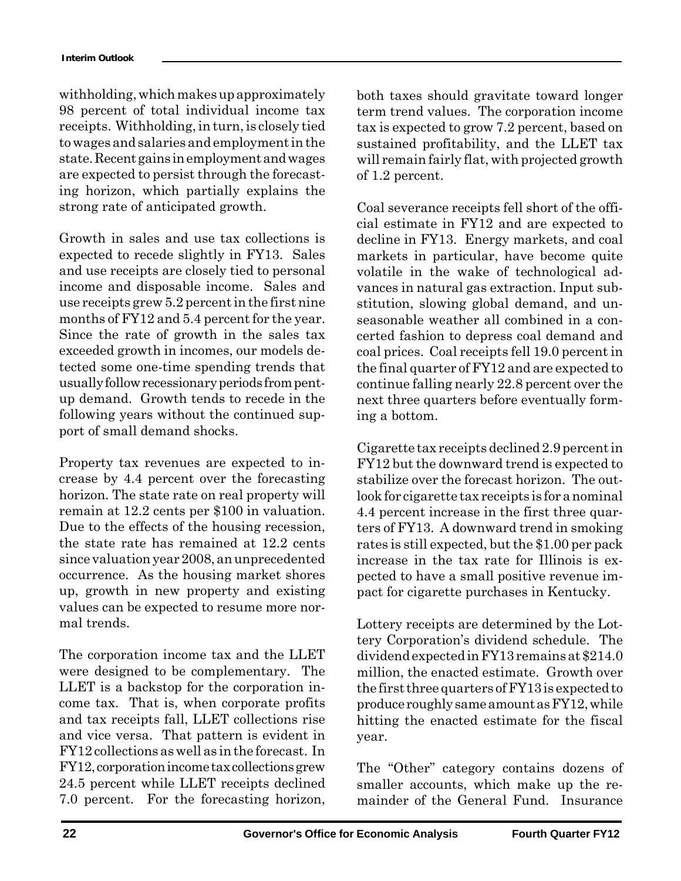withholding, which makes up approximately 98 percent of total individual income tax receipts. Withholding, in turn, is closely tied to wages and salaries and employment in the state. Recent gains in employment and wages are expected to persist through the forecasting horizon, which partially explains the strong rate of anticipated growth.

Growth in sales and use tax collections is expected to recede slightly in FY13. Sales and use receipts are closely tied to personal income and disposable income. Sales and use receipts grew 5.2 percent in the first nine months of FY12 and 5.4 percent for the year. Since the rate of growth in the sales tax exceeded growth in incomes, our models detected some one-time spending trends that usually follow recessionary periods from pentup demand. Growth tends to recede in the following years without the continued support of small demand shocks.

Property tax revenues are expected to increase by 4.4 percent over the forecasting horizon. The state rate on real property will remain at 12.2 cents per \$100 in valuation. Due to the effects of the housing recession, the state rate has remained at 12.2 cents since valuation year 2008, an unprecedented occurrence. As the housing market shores up, growth in new property and existing values can be expected to resume more normal trends.

The corporation income tax and the LLET were designed to be complementary. The LLET is a backstop for the corporation income tax. That is, when corporate profits and tax receipts fall, LLET collections rise and vice versa. That pattern is evident in FY12 collections as well as in the forecast. In FY12, corporation income tax collections grew 24.5 percent while LLET receipts declined 7.0 percent. For the forecasting horizon,

both taxes should gravitate toward longer term trend values. The corporation income tax is expected to grow 7.2 percent, based on sustained profitability, and the LLET tax will remain fairly flat, with projected growth of 1.2 percent.

Coal severance receipts fell short of the official estimate in FY12 and are expected to decline in FY13. Energy markets, and coal markets in particular, have become quite volatile in the wake of technological advances in natural gas extraction. Input substitution, slowing global demand, and unseasonable weather all combined in a concerted fashion to depress coal demand and coal prices. Coal receipts fell 19.0 percent in the final quarter of FY12 and are expected to continue falling nearly 22.8 percent over the next three quarters before eventually forming a bottom.

Cigarette tax receipts declined 2.9 percent in FY12 but the downward trend is expected to stabilize over the forecast horizon. The outlook for cigarette tax receipts is for a nominal 4.4 percent increase in the first three quarters of FY13. A downward trend in smoking rates is still expected, but the \$1.00 per pack increase in the tax rate for Illinois is expected to have a small positive revenue impact for cigarette purchases in Kentucky.

Lottery receipts are determined by the Lottery Corporation's dividend schedule. The dividend expected in FY13 remains at \$214.0 million, the enacted estimate. Growth over the first three quarters of FY13 is expected to produce roughly same amount as FY12, while hitting the enacted estimate for the fiscal year.

The "Other" category contains dozens of smaller accounts, which make up the remainder of the General Fund. Insurance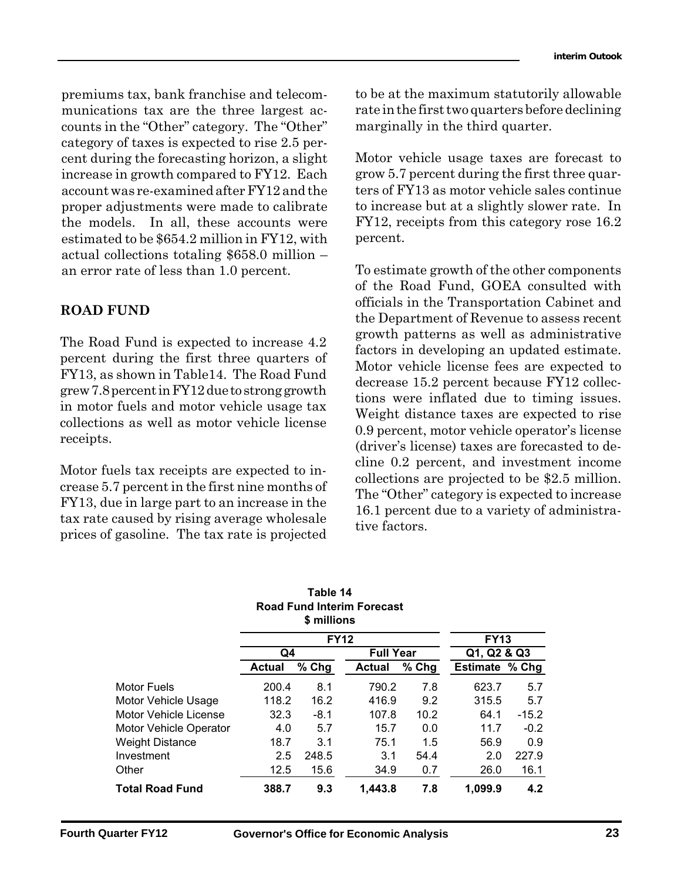counts in the "Other" category. The "Other" marginally in the third quarter. premiums tax, bank franchise and telecommunications tax are the three largest accategory of taxes is expected to rise 2.5 percent during the forecasting horizon, a slight increase in growth compared to FY12. Each account was re-examined after FY12 and the proper adjustments were made to calibrate the models. In all, these accounts were estimated to be \$654.2 million in FY12, with actual collections totaling \$658.0 million – an error rate of less than 1.0 percent.

## **ROAD FUND**

The Road Fund is expected to increase 4.2 percent during the first three quarters of FY13, as shown in Table14. The Road Fund grew 7.8 percent in FY12 due to strong growth in motor fuels and motor vehicle usage tax collections as well as motor vehicle license receipts.

Motor fuels tax receipts are expected to increase 5.7 percent in the first nine months of FY13, due in large part to an increase in the tax rate caused by rising average wholesale prices of gasoline. The tax rate is projected

to be at the maximum statutorily allowable rate in the first two quarters before declining marginally in the third quarter.

Motor vehicle usage taxes are forecast to grow 5.7 percent during the first three quarters of FY13 as motor vehicle sales continue to increase but at a slightly slower rate. In FY12, receipts from this category rose 16.2 percent.

To estimate growth of the other components of the Road Fund, GOEA consulted with officials in the Transportation Cabinet and the Department of Revenue to assess recent growth patterns as well as administrative factors in developing an updated estimate. Motor vehicle license fees are expected to decrease 15.2 percent because FY12 collections were inflated due to timing issues. Weight distance taxes are expected to rise 0.9 percent, motor vehicle operator's license (driver's license) taxes are forecasted to decline 0.2 percent, and investment income collections are projected to be \$2.5 million. The "Other" category is expected to increase 16.1 percent due to a variety of administrative factors.

|                        |               | l able 14<br>\$ millions | <b>Road Fund Interim Forecast</b> |         |                |         |  |
|------------------------|---------------|--------------------------|-----------------------------------|---------|----------------|---------|--|
|                        |               | <b>FY12</b>              |                                   |         | <b>FY13</b>    |         |  |
|                        | Q4            |                          | <b>Full Year</b>                  |         | Q1, Q2 & Q3    |         |  |
|                        | <b>Actual</b> | $%$ Chg                  | <b>Actual</b>                     | $%$ Chg | Estimate % Chg |         |  |
| Motor Fuels            | 200.4         | 8.1                      | 790.2                             | 7.8     | 623.7          | 5.7     |  |
| Motor Vehicle Usage    | 118.2         | 16.2                     | 416.9                             | 9.2     | 315.5          | 5.7     |  |
| Motor Vehicle License  | 32.3          | $-8.1$                   | 107.8                             | 10.2    | 64.1           | $-15.2$ |  |
| Motor Vehicle Operator | 4.0           | 5.7                      | 15.7                              | 0.0     | 11.7           | $-0.2$  |  |
| <b>Weight Distance</b> | 18.7          | 3.1                      | 75.1                              | 1.5     | 56.9           | 0.9     |  |
| Investment             | 2.5           | 248.5                    | 3.1                               | 54.4    | 2.0            | 227.9   |  |
| Other                  | 12.5          | 15.6                     | 34.9                              | 0.7     | 26.0           | 16.1    |  |
| <b>Total Road Fund</b> | 388.7         | 9.3                      | 1.443.8                           | 7.8     | 1,099.9        | 4.2     |  |

# **Table 14**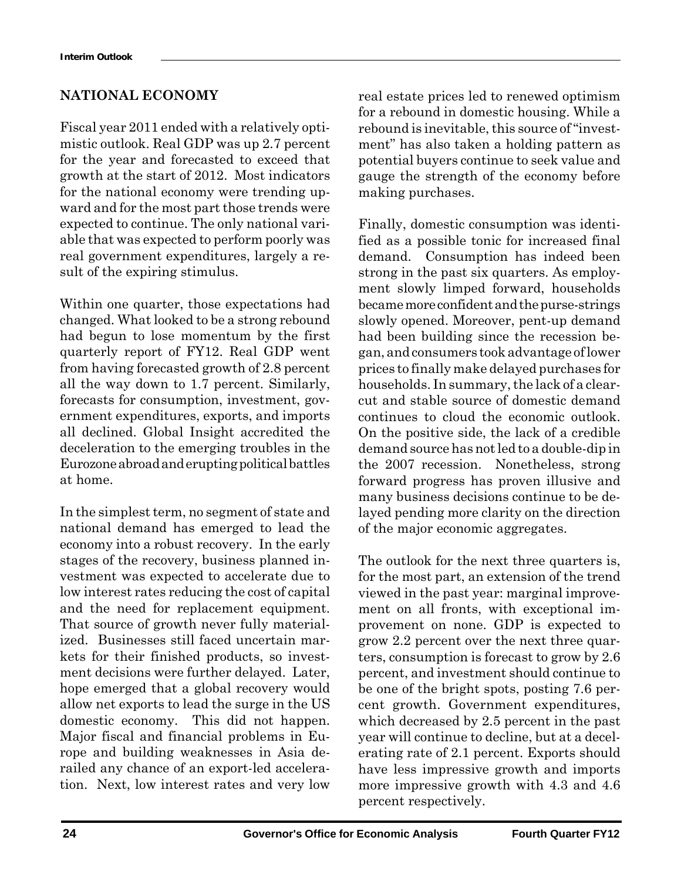## **NATIONAL ECONOMY**

Fiscal year 2011 ended with a relatively optimistic outlook. Real GDP was up 2.7 percent for the year and forecasted to exceed that growth at the start of 2012. Most indicators for the national economy were trending upward and for the most part those trends were expected to continue. The only national variable that was expected to perform poorly was real government expenditures, largely a result of the expiring stimulus.

Within one quarter, those expectations had changed. What looked to be a strong rebound had begun to lose momentum by the first quarterly report of FY12. Real GDP went from having forecasted growth of 2.8 percent all the way down to 1.7 percent. Similarly, forecasts for consumption, investment, government expenditures, exports, and imports all declined. Global Insight accredited the deceleration to the emerging troubles in the Eurozone abroad and erupting political battles at home.

In the simplest term, no segment of state and national demand has emerged to lead the economy into a robust recovery. In the early stages of the recovery, business planned investment was expected to accelerate due to low interest rates reducing the cost of capital and the need for replacement equipment. That source of growth never fully materialized. Businesses still faced uncertain markets for their finished products, so investment decisions were further delayed. Later, hope emerged that a global recovery would allow net exports to lead the surge in the US domestic economy. This did not happen. Major fiscal and financial problems in Europe and building weaknesses in Asia derailed any chance of an export-led acceleration. Next, low interest rates and very low real estate prices led to renewed optimism for a rebound in domestic housing. While a rebound is inevitable, this source of "investment" has also taken a holding pattern as potential buyers continue to seek value and gauge the strength of the economy before making purchases.

Finally, domestic consumption was identified as a possible tonic for increased final demand. Consumption has indeed been strong in the past six quarters. As employment slowly limped forward, households became more confident and the purse-strings slowly opened. Moreover, pent-up demand had been building since the recession began, and consumers took advantage of lower prices to finally make delayed purchases for households. In summary, the lack of a clearcut and stable source of domestic demand continues to cloud the economic outlook. On the positive side, the lack of a credible demand source has not led to a double-dip in the 2007 recession. Nonetheless, strong forward progress has proven illusive and many business decisions continue to be delayed pending more clarity on the direction of the major economic aggregates.

The outlook for the next three quarters is, for the most part, an extension of the trend viewed in the past year: marginal improvement on all fronts, with exceptional improvement on none. GDP is expected to grow 2.2 percent over the next three quarters, consumption is forecast to grow by 2.6 percent, and investment should continue to be one of the bright spots, posting 7.6 percent growth. Government expenditures, which decreased by 2.5 percent in the past year will continue to decline, but at a decelerating rate of 2.1 percent. Exports should have less impressive growth and imports more impressive growth with 4.3 and 4.6 percent respectively.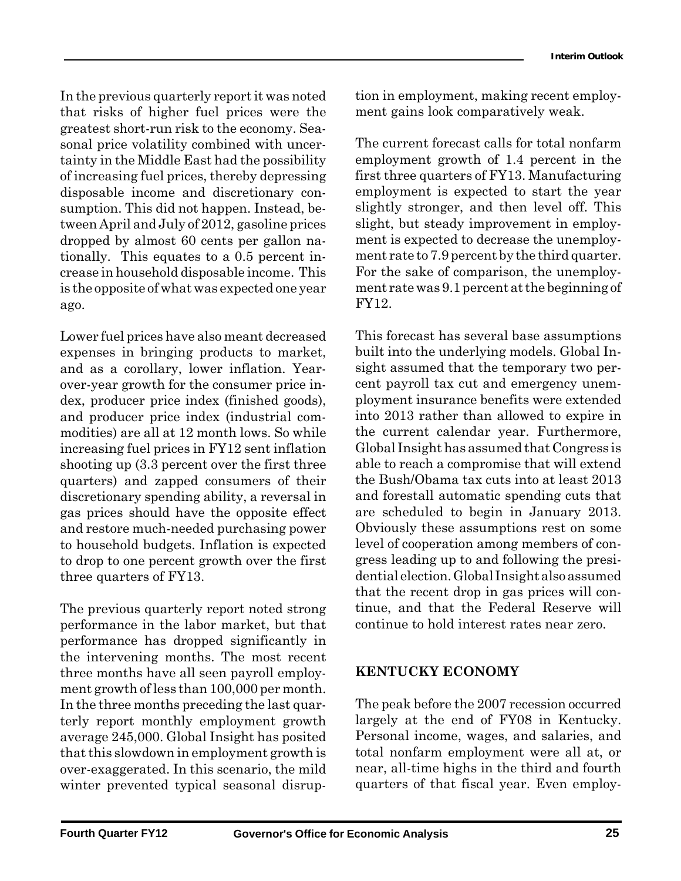greatest short-run risk to the economy. Sea-In the previous quarterly report it was noted that risks of higher fuel prices were the sonal price volatility combined with uncertainty in the Middle East had the possibility of increasing fuel prices, thereby depressing disposable income and discretionary consumption. This did not happen. Instead, between April and July of 2012, gasoline prices dropped by almost 60 cents per gallon nationally. This equates to a 0.5 percent increase in household disposable income. This is the opposite of what was expected one year ago.

Lower fuel prices have also meant decreased expenses in bringing products to market, and as a corollary, lower inflation. Yearover-year growth for the consumer price index, producer price index (finished goods), and producer price index (industrial commodities) are all at 12 month lows. So while increasing fuel prices in FY12 sent inflation shooting up (3.3 percent over the first three quarters) and zapped consumers of their discretionary spending ability, a reversal in gas prices should have the opposite effect and restore much-needed purchasing power to household budgets. Inflation is expected to drop to one percent growth over the first three quarters of FY13.

The previous quarterly report noted strong performance in the labor market, but that performance has dropped significantly in the intervening months. The most recent three months have all seen payroll employment growth of less than 100,000 per month. In the three months preceding the last quarterly report monthly employment growth average 245,000. Global Insight has posited that this slowdown in employment growth is over-exaggerated. In this scenario, the mild winter prevented typical seasonal disruption in employment, making recent employment gains look comparatively weak.

The current forecast calls for total nonfarm employment growth of 1.4 percent in the first three quarters of FY13. Manufacturing employment is expected to start the year slightly stronger, and then level off. This slight, but steady improvement in employment is expected to decrease the unemployment rate to 7.9 percent by the third quarter. For the sake of comparison, the unemployment rate was 9.1 percent at the beginning of FY12.

This forecast has several base assumptions built into the underlying models. Global Insight assumed that the temporary two percent payroll tax cut and emergency unemployment insurance benefits were extended into 2013 rather than allowed to expire in the current calendar year. Furthermore, Global Insight has assumed that Congress is able to reach a compromise that will extend the Bush/Obama tax cuts into at least 2013 and forestall automatic spending cuts that are scheduled to begin in January 2013. Obviously these assumptions rest on some level of cooperation among members of congress leading up to and following the presidential election. Global Insight also assumed that the recent drop in gas prices will continue, and that the Federal Reserve will continue to hold interest rates near zero.

## **KENTUCKY ECONOMY**

The peak before the 2007 recession occurred largely at the end of FY08 in Kentucky. Personal income, wages, and salaries, and total nonfarm employment were all at, or near, all-time highs in the third and fourth quarters of that fiscal year. Even employ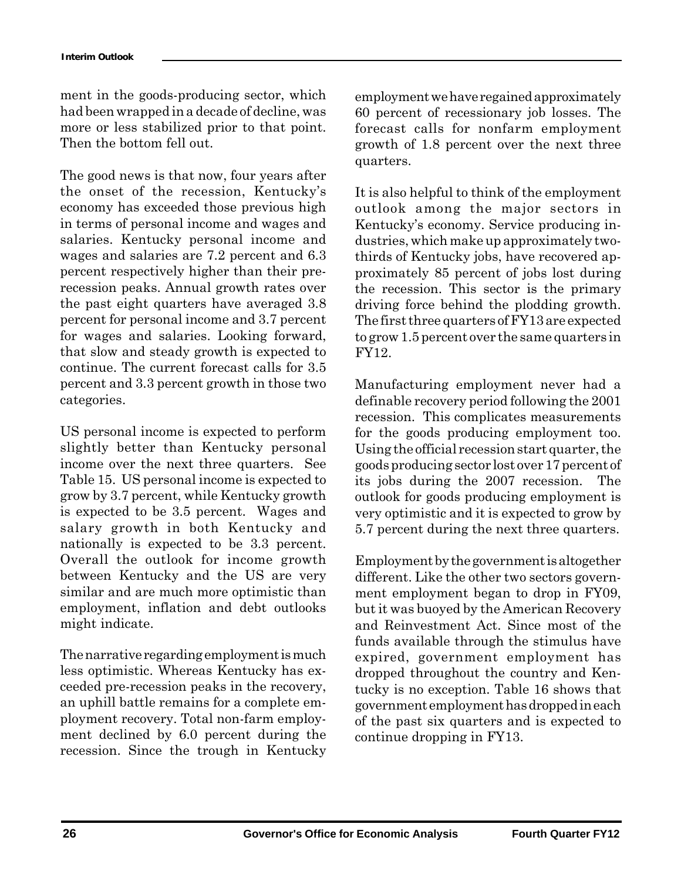ment in the goods-producing sector, which had been wrapped in a decade of decline, was more or less stabilized prior to that point. Then the bottom fell out.

The good news is that now, four years after the onset of the recession, Kentucky's economy has exceeded those previous high in terms of personal income and wages and salaries. Kentucky personal income and wages and salaries are 7.2 percent and 6.3 percent respectively higher than their prerecession peaks. Annual growth rates over the past eight quarters have averaged 3.8 percent for personal income and 3.7 percent for wages and salaries. Looking forward, that slow and steady growth is expected to continue. The current forecast calls for 3.5 percent and 3.3 percent growth in those two categories.

US personal income is expected to perform slightly better than Kentucky personal income over the next three quarters. See Table 15. US personal income is expected to grow by 3.7 percent, while Kentucky growth is expected to be 3.5 percent. Wages and salary growth in both Kentucky and nationally is expected to be 3.3 percent. Overall the outlook for income growth between Kentucky and the US are very similar and are much more optimistic than employment, inflation and debt outlooks might indicate.

The narrative regarding employment is much less optimistic. Whereas Kentucky has exceeded pre-recession peaks in the recovery, an uphill battle remains for a complete employment recovery. Total non-farm employment declined by 6.0 percent during the recession. Since the trough in Kentucky employment we have regained approximately 60 percent of recessionary job losses. The forecast calls for nonfarm employment growth of 1.8 percent over the next three quarters.

It is also helpful to think of the employment outlook among the major sectors in Kentucky's economy. Service producing industries, which make up approximately twothirds of Kentucky jobs, have recovered approximately 85 percent of jobs lost during the recession. This sector is the primary driving force behind the plodding growth. The first three quarters of FY13 are expected to grow 1.5 percent over the same quarters in FY12.

Manufacturing employment never had a definable recovery period following the 2001 recession. This complicates measurements for the goods producing employment too. Using the official recession start quarter, the goods producing sector lost over 17 percent of its jobs during the 2007 recession. The outlook for goods producing employment is very optimistic and it is expected to grow by 5.7 percent during the next three quarters.

Employment by the government is altogether different. Like the other two sectors government employment began to drop in FY09, but it was buoyed by the American Recovery and Reinvestment Act. Since most of the funds available through the stimulus have expired, government employment has dropped throughout the country and Kentucky is no exception. Table 16 shows that government employment has dropped in each of the past six quarters and is expected to continue dropping in FY13.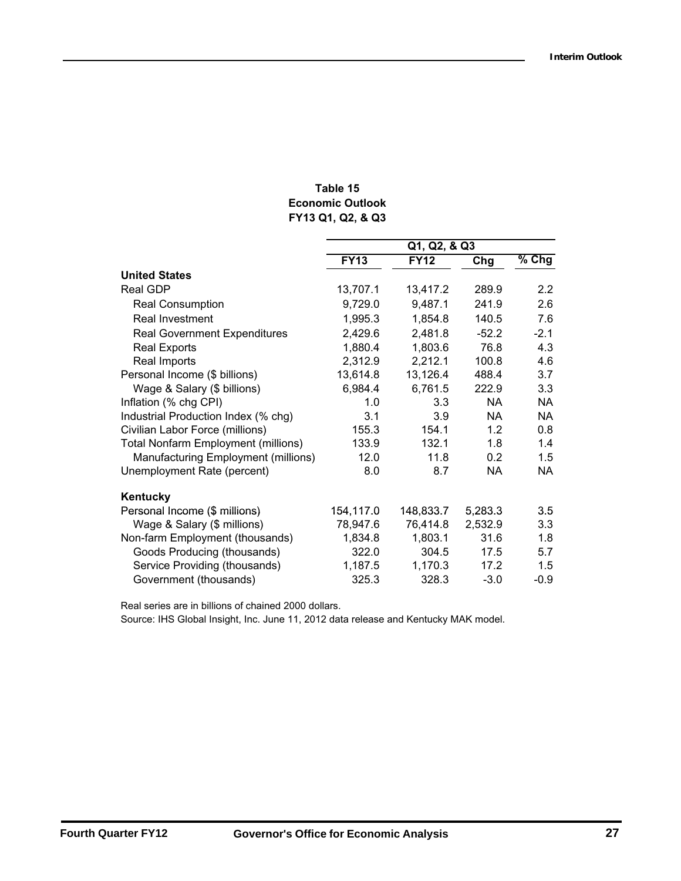### **FY13 Q1, Q2, & Q3 Table 15 Economic Outlook**

|                                            | Q1, Q2, & Q3 |             |           |                  |  |
|--------------------------------------------|--------------|-------------|-----------|------------------|--|
|                                            | <b>FY13</b>  | <b>FY12</b> | Chg       | $%$ Chg          |  |
| <b>United States</b>                       |              |             |           |                  |  |
| <b>Real GDP</b>                            | 13,707.1     | 13,417.2    | 289.9     | $2.2\phantom{0}$ |  |
| <b>Real Consumption</b>                    | 9,729.0      | 9,487.1     | 241.9     | 2.6              |  |
| <b>Real Investment</b>                     | 1,995.3      | 1,854.8     | 140.5     | 7.6              |  |
| <b>Real Government Expenditures</b>        | 2,429.6      | 2,481.8     | $-52.2$   | $-2.1$           |  |
| <b>Real Exports</b>                        | 1,880.4      | 1,803.6     | 76.8      | 4.3              |  |
| Real Imports                               | 2,312.9      | 2,212.1     | 100.8     | 4.6              |  |
| Personal Income (\$ billions)              | 13,614.8     | 13,126.4    | 488.4     | 3.7              |  |
| Wage & Salary (\$ billions)                | 6,984.4      | 6,761.5     | 222.9     | 3.3              |  |
| Inflation (% chg CPI)                      | 1.0          | 3.3         | <b>NA</b> | NA               |  |
| Industrial Production Index (% chg)        | 3.1          | 3.9         | <b>NA</b> | NA.              |  |
| Civilian Labor Force (millions)            | 155.3        | 154.1       | 1.2       | 0.8              |  |
| <b>Total Nonfarm Employment (millions)</b> | 133.9        | 132.1       | 1.8       | 1.4              |  |
| Manufacturing Employment (millions)        | 12.0         | 11.8        | 0.2       | 1.5              |  |
| Unemployment Rate (percent)                | 8.0          | 8.7         | <b>NA</b> | NA               |  |
| Kentucky                                   |              |             |           |                  |  |
| Personal Income (\$ millions)              | 154,117.0    | 148,833.7   | 5,283.3   | 3.5              |  |
| Wage & Salary (\$ millions)                | 78,947.6     | 76,414.8    | 2,532.9   | 3.3              |  |
| Non-farm Employment (thousands)            | 1,834.8      | 1,803.1     | 31.6      | 1.8              |  |
| Goods Producing (thousands)                | 322.0        | 304.5       | 17.5      | 5.7              |  |
| Service Providing (thousands)              | 1,187.5      | 1,170.3     | 17.2      | 1.5              |  |
| Government (thousands)                     | 325.3        | 328.3       | $-3.0$    | $-0.9$           |  |

Real series are in billions of chained 2000 dollars.

Source: IHS Global Insight, Inc. June 11, 2012 data release and Kentucky MAK model.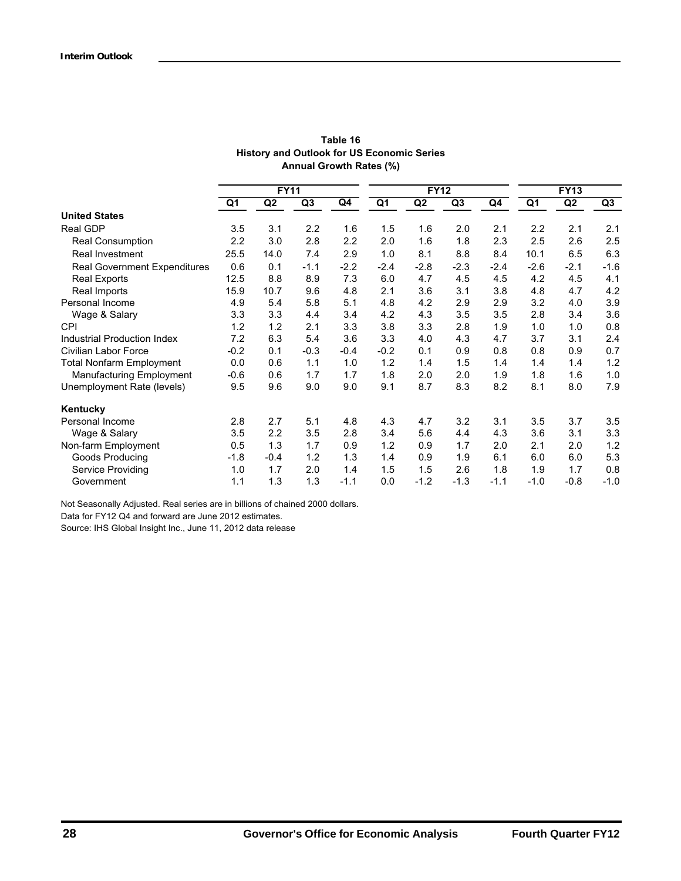| Table 16                                          |
|---------------------------------------------------|
| <b>History and Outlook for US Economic Series</b> |
| Annual Growth Rates (%)                           |

|                                     | <b>FY11</b> |                |        | <b>FY12</b> |        |                | <b>FY13</b> |        |        |                |        |
|-------------------------------------|-------------|----------------|--------|-------------|--------|----------------|-------------|--------|--------|----------------|--------|
|                                     | Q1          | Q <sub>2</sub> | Q3     | Q4          | Q1     | Q <sub>2</sub> | Q3          | Q4     | Q1     | Q <sub>2</sub> | Q3     |
| <b>United States</b>                |             |                |        |             |        |                |             |        |        |                |        |
| <b>Real GDP</b>                     | 3.5         | 3.1            | 2.2    | 1.6         | 1.5    | 1.6            | 2.0         | 2.1    | 2.2    | 2.1            | 2.1    |
| <b>Real Consumption</b>             | 2.2         | 3.0            | 2.8    | 2.2         | 2.0    | 1.6            | 1.8         | 2.3    | 2.5    | 2.6            | 2.5    |
| <b>Real Investment</b>              | 25.5        | 14.0           | 7.4    | 2.9         | 1.0    | 8.1            | 8.8         | 8.4    | 10.1   | 6.5            | 6.3    |
| <b>Real Government Expenditures</b> | 0.6         | 0.1            | $-1.1$ | $-2.2$      | $-2.4$ | $-2.8$         | $-2.3$      | $-2.4$ | $-2.6$ | $-2.1$         | $-1.6$ |
| <b>Real Exports</b>                 | 12.5        | 8.8            | 8.9    | 7.3         | 6.0    | 4.7            | 4.5         | 4.5    | 4.2    | 4.5            | 4.1    |
| Real Imports                        | 15.9        | 10.7           | 9.6    | 4.8         | 2.1    | 3.6            | 3.1         | 3.8    | 4.8    | 4.7            | 4.2    |
| Personal Income                     | 4.9         | 5.4            | 5.8    | 5.1         | 4.8    | 4.2            | 2.9         | 2.9    | 3.2    | 4.0            | 3.9    |
| Wage & Salary                       | 3.3         | 3.3            | 4.4    | 3.4         | 4.2    | 4.3            | 3.5         | 3.5    | 2.8    | 3.4            | 3.6    |
| <b>CPI</b>                          | 1.2         | 1.2            | 2.1    | 3.3         | 3.8    | 3.3            | 2.8         | 1.9    | 1.0    | 1.0            | 0.8    |
| Industrial Production Index         | 7.2         | 6.3            | 5.4    | 3.6         | 3.3    | 4.0            | 4.3         | 4.7    | 3.7    | 3.1            | 2.4    |
| Civilian Labor Force                | $-0.2$      | 0.1            | $-0.3$ | $-0.4$      | $-0.2$ | 0.1            | 0.9         | 0.8    | 0.8    | 0.9            | 0.7    |
| <b>Total Nonfarm Employment</b>     | 0.0         | 0.6            | 1.1    | 1.0         | 1.2    | 1.4            | 1.5         | 1.4    | 1.4    | 1.4            | 1.2    |
| <b>Manufacturing Employment</b>     | $-0.6$      | 0.6            | 1.7    | 1.7         | 1.8    | 2.0            | 2.0         | 1.9    | 1.8    | 1.6            | 1.0    |
| Unemployment Rate (levels)          | 9.5         | 9.6            | 9.0    | 9.0         | 9.1    | 8.7            | 8.3         | 8.2    | 8.1    | 8.0            | 7.9    |
| Kentucky                            |             |                |        |             |        |                |             |        |        |                |        |
| Personal Income                     | 2.8         | 2.7            | 5.1    | 4.8         | 4.3    | 4.7            | 3.2         | 3.1    | 3.5    | 3.7            | 3.5    |
| Wage & Salary                       | 3.5         | 2.2            | 3.5    | 2.8         | 3.4    | 5.6            | 4.4         | 4.3    | 3.6    | 3.1            | 3.3    |
| Non-farm Employment                 | 0.5         | 1.3            | 1.7    | 0.9         | 1.2    | 0.9            | 1.7         | 2.0    | 2.1    | 2.0            | 1.2    |
| Goods Producing                     | $-1.8$      | $-0.4$         | 1.2    | 1.3         | 1.4    | 0.9            | 1.9         | 6.1    | 6.0    | 6.0            | 5.3    |
| Service Providing                   | 1.0         | 1.7            | 2.0    | 1.4         | 1.5    | 1.5            | 2.6         | 1.8    | 1.9    | 1.7            | 0.8    |
| Government                          | 1.1         | 1.3            | 1.3    | $-1.1$      | 0.0    | $-1.2$         | $-1.3$      | $-1.1$ | $-1.0$ | $-0.8$         | $-1.0$ |

Not Seasonally Adjusted. Real series are in billions of chained 2000 dollars.

Data for FY12 Q4 and forward are June 2012 estimates.

Source: IHS Global Insight Inc., June 11, 2012 data release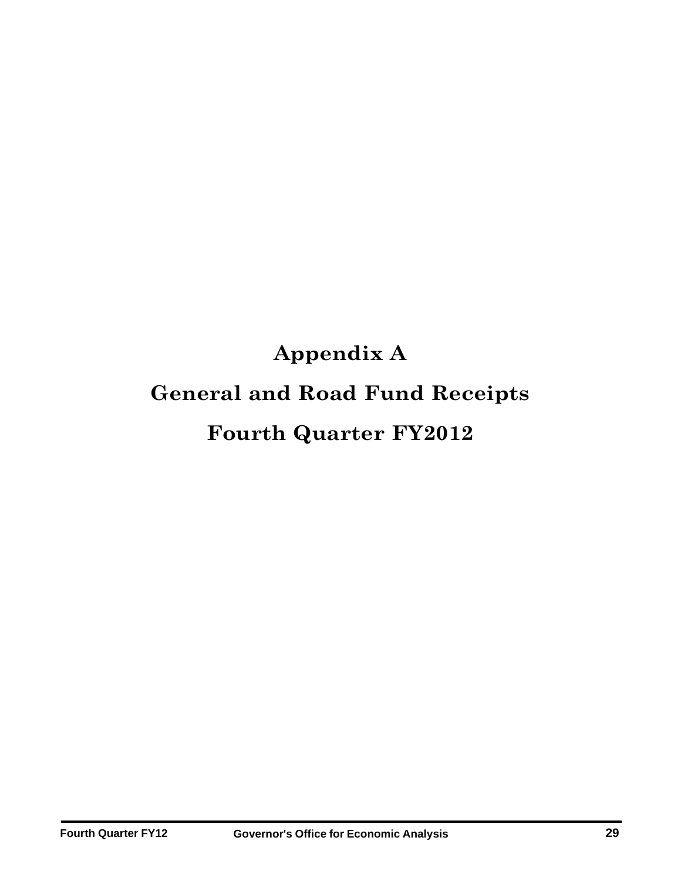# **Appendix A General and Road Fund Receipts Fourth Quarter FY2012**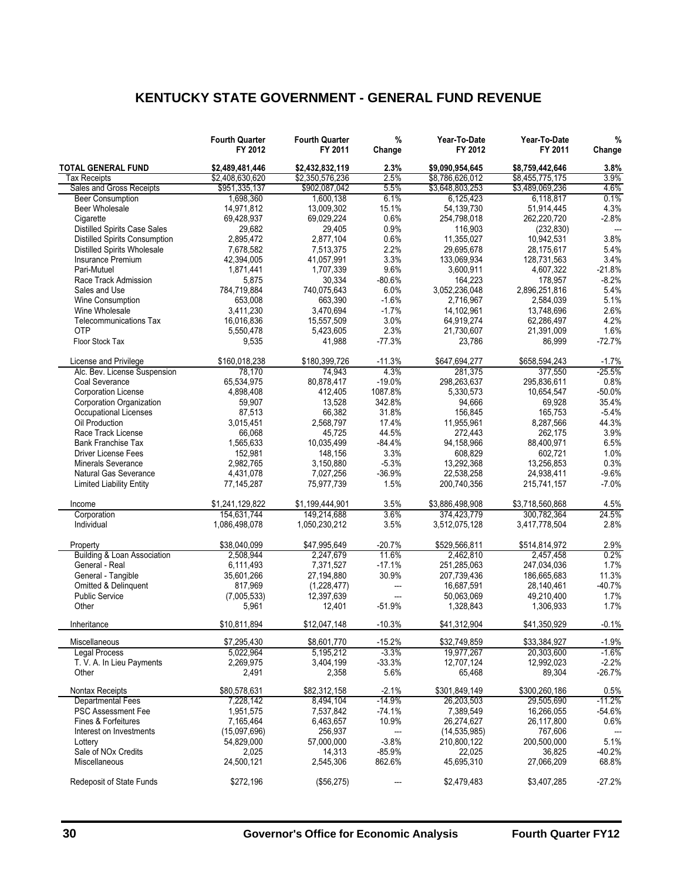## **KENTUCKY STATE GOVERNMENT - GENERAL FUND REVENUE**

|                                                                 | <b>Fourth Quarter</b><br>FY 2012 | <b>Fourth Quarter</b><br>FY 2011 | %<br>Change    | Year-To-Date<br>FY 2012 | Year-To-Date<br>FY 2011  | %<br>Change      |
|-----------------------------------------------------------------|----------------------------------|----------------------------------|----------------|-------------------------|--------------------------|------------------|
| <b>TOTAL GENERAL FUND</b>                                       | \$2.489.481.446                  | \$2.432.832.119                  | 2.3%           | \$9,090,954,645         | \$8.759.442.646          | 3.8%             |
| Tax Receipts                                                    | \$2,408,630,620                  | \$2,350,576,236                  | 2.5%           | \$8,786,626,012         | \$8,455,775,175          | 3.9%             |
| Sales and Gross Receipts                                        | \$951,335,137                    | \$902,087,042                    | 5.5%           | \$3,648,803,253         | \$3,489,069,236          | 4.6%             |
| <b>Beer Consumption</b>                                         | 1,698,360                        | 1,600,138                        | 6.1%           | 6,125,423               | 6,118,817                | 0.1%             |
| Beer Wholesale                                                  | 14,971,812                       | 13,009,302                       | 15.1%          | 54,139,730              | 51,914,445               | 4.3%             |
| Cigarette                                                       | 69,428,937                       | 69,029,224                       | 0.6%           | 254,798,018             | 262,220,720              | $-2.8%$          |
| <b>Distilled Spirits Case Sales</b>                             | 29,682                           | 29,405                           | 0.9%           | 116,903                 | (232, 830)               | $\overline{a}$   |
| <b>Distilled Spirits Consumption</b>                            | 2,895,472                        | 2,877,104                        | 0.6%           | 11,355,027              | 10,942,531               | 3.8%             |
| <b>Distilled Spirits Wholesale</b><br><b>Insurance Premium</b>  | 7,678,582                        | 7,513,375                        | 2.2%           | 29,695,678              | 28,175,617               | 5.4%             |
| Pari-Mutuel                                                     | 42,394,005                       | 41,057,991<br>1,707,339          | 3.3%<br>9.6%   | 133.069.934             | 128,731,563              | 3.4%<br>$-21.8%$ |
|                                                                 | 1,871,441                        | 30,334                           | $-80.6%$       | 3,600,911<br>164,223    | 4,607,322                | $-8.2%$          |
| Race Track Admission<br>Sales and Use                           | 5,875<br>784,719,884             | 740,075,643                      | 6.0%           | 3,052,236,048           | 178,957<br>2,896,251,816 | 5.4%             |
| <b>Wine Consumption</b>                                         | 653,008                          | 663,390                          | $-1.6%$        | 2,716,967               | 2,584,039                | 5.1%             |
| Wine Wholesale                                                  | 3,411,230                        | 3,470,694                        | $-1.7%$        | 14,102,961              | 13,748,696               | 2.6%             |
| <b>Telecommunications Tax</b>                                   | 16,016,836                       | 15,557,509                       | 3.0%           | 64,919,274              | 62,286,497               | 4.2%             |
| OTP                                                             | 5,550,478                        | 5,423,605                        | 2.3%           | 21,730,607              | 21,391,009               | 1.6%             |
| Floor Stock Tax                                                 | 9,535                            | 41,988                           | $-77.3%$       | 23,786                  | 86,999                   | $-72.7%$         |
|                                                                 |                                  |                                  |                |                         |                          |                  |
| License and Privilege                                           | \$160.018.238                    | \$180,399,726                    | $-11.3%$       | \$647,694,277           | \$658,594,243            | $-1.7%$          |
| Alc. Bev. License Suspension                                    | 78,170                           | 74,943                           | 4.3%           | 281.375                 | 377,550                  | $-25.5%$         |
| Coal Severance                                                  | 65,534,975                       | 80,878,417                       | $-19.0%$       | 298,263,637             | 295,836,611              | 0.8%             |
| <b>Corporation License</b>                                      | 4,898,408                        | 412,405                          | 1087.8%        | 5.330.573               | 10,654,547               | $-50.0%$         |
| <b>Corporation Organization</b><br><b>Occupational Licenses</b> | 59,907                           | 13,528                           | 342.8%         | 94.666<br>156.845       | 69,928                   | 35.4%            |
| Oil Production                                                  | 87,513                           | 66,382                           | 31.8%<br>17.4% |                         | 165,753                  | $-5.4%$<br>44.3% |
|                                                                 | 3,015,451                        | 2,568,797                        | 44.5%          | 11,955,961<br>272,443   | 8,287,566                | 3.9%             |
| Race Track License<br><b>Bank Franchise Tax</b>                 | 66,068                           | 45,725                           | $-84.4%$       |                         | 262,175                  | 6.5%             |
| <b>Driver License Fees</b>                                      | 1,565,633<br>152,981             | 10,035,499<br>148,156            | 3.3%           | 94,158,966<br>608,829   | 88,400,971<br>602,721    | 1.0%             |
| <b>Minerals Severance</b>                                       | 2,982,765                        | 3,150,880                        | $-5.3%$        | 13,292,368              | 13,256,853               | 0.3%             |
| <b>Natural Gas Severance</b>                                    | 4,431,078                        | 7,027,256                        | $-36.9%$       | 22,538,258              | 24,938,411               | $-9.6%$          |
| <b>Limited Liability Entity</b>                                 | 77,145,287                       | 75,977,739                       | 1.5%           | 200,740,356             | 215,741,157              | $-7.0%$          |
|                                                                 |                                  |                                  |                |                         |                          |                  |
| Income                                                          | \$1,241,129,822                  | \$1,199,444,901                  | 3.5%           | \$3,886,498,908         | \$3,718,560,868          | 4.5%             |
| Corporation                                                     | 154,631,744                      | 149,214,688                      | 3.6%           | 374,423,779             | 300,782,364              | 24.5%            |
| Individual                                                      | 1,086,498,078                    | 1,050,230,212                    | 3.5%           | 3,512,075,128           | 3,417,778,504            | 2.8%             |
| Property                                                        | \$38,040,099                     | \$47,995,649                     | $-20.7%$       | \$529,566,811           | \$514,814,972            | 2.9%             |
| <b>Building &amp; Loan Association</b>                          | 2,508,944                        | 2,247,679                        | 11.6%          | 2,462,810               | 2,457,458                | 0.2%             |
| General - Real                                                  | 6,111,493                        | 7,371,527                        | $-17.1%$       | 251,285,063             | 247,034,036              | 1.7%             |
| General - Tangible                                              | 35,601,266                       | 27,194,880                       | 30.9%          | 207,739,436             | 186,665,683              | 11.3%            |
| Omitted & Delinquent                                            | 817,969                          | (1,228,477)                      | ---            | 16,687,591              | 28,140,461               | $-40.7%$         |
| <b>Public Service</b>                                           | (7,005,533)                      | 12,397,639                       | $\overline{a}$ | 50,063,069              | 49,210,400               | 1.7%             |
| Other                                                           | 5,961                            | 12,401                           | $-51.9%$       | 1,328,843               | 1,306,933                | 1.7%             |
| Inheritance                                                     | \$10,811,894                     | \$12,047,148                     | $-10.3%$       | \$41,312,904            | \$41,350,929             | $-0.1%$          |
| Miscellaneous                                                   | \$7,295,430                      | \$8,601,770                      | $-15.2%$       | \$32,749,859            | \$33,384,927             | $-1.9%$          |
| Legal Process                                                   | 5,022,964                        | 5,195,212                        | $-3.3%$        | 19,977,267              | 20,303,600               | -1.6%            |
| T. V. A. In Lieu Payments                                       | 2,269,975                        | 3,404,199                        | $-33.3%$       | 12,707,124              | 12,992,023               | $-2.2%$          |
| Other                                                           | 2,491                            | 2,358                            | 5.6%           | 65,468                  | 89,304                   | $-26.7%$         |
| Nontax Receipts                                                 | \$80,578,631                     | \$82,312,158                     | $-2.1%$        | \$301,849,149           | \$300,260,186            | 0.5%             |
| <b>Departmental Fees</b>                                        | 7,228,142                        | 8.494.104                        | $-14.9%$       | 26,203,503              | 29,505,690               | $-11.2%$         |
| <b>PSC Assessment Fee</b>                                       | 1,951,575                        | 7,537,842                        | $-74.1%$       | 7,389,549               | 16,266,055               | $-54.6%$         |
| Fines & Forfeitures                                             | 7,165,464                        | 6,463,657                        | 10.9%          | 26,274,627              | 26,117,800               | 0.6%             |
| Interest on Investments                                         | (15,097,696)                     | 256,937                          | ---            | (14, 535, 985)          | 767,606                  | ---              |
| Lottery                                                         | 54,829,000                       | 57,000,000                       | $-3.8%$        | 210,800,122             | 200,500,000              | 5.1%             |
| Sale of NO <sub>x</sub> Credits                                 | 2,025                            | 14,313                           | $-85.9%$       | 22,025                  | 36,825                   | $-40.2%$         |
| Miscellaneous                                                   | 24,500,121                       | 2,545,306                        | 862.6%         | 45,695,310              | 27,066,209               | 68.8%            |
| Redeposit of State Funds                                        | \$272,196                        | (\$56,275)                       |                | \$2,479,483             | \$3,407,285              | $-27.2%$         |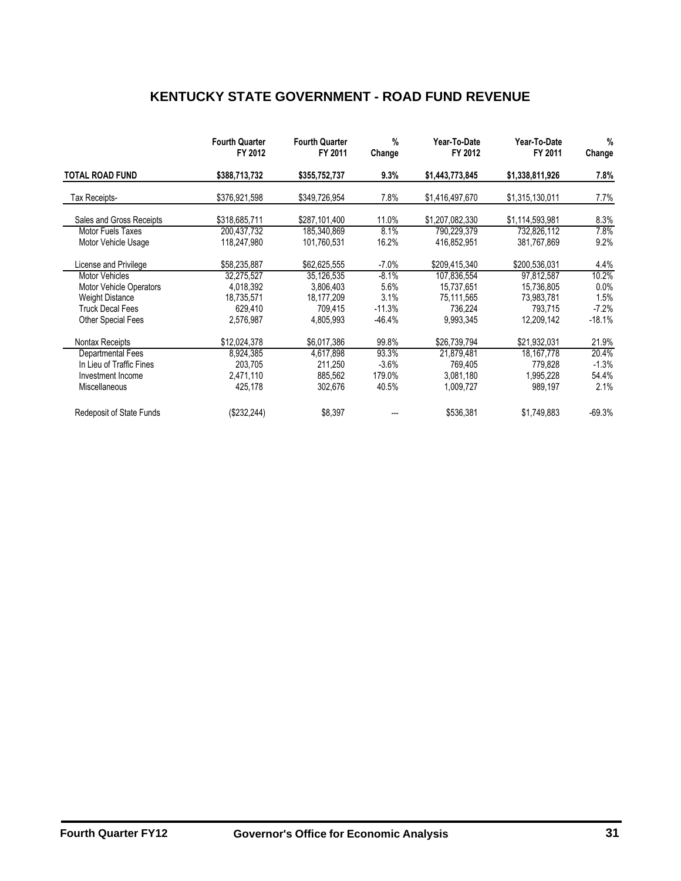## **KENTUCKY STATE GOVERNMENT - ROAD FUND REVENUE**

|                                 | <b>Fourth Quarter</b><br>FY 2012 | <b>Fourth Quarter</b><br>FY 2011 | %<br>Change | Year-To-Date<br>FY 2012 | Year-To-Date<br>FY 2011 | $\%$<br>Change |
|---------------------------------|----------------------------------|----------------------------------|-------------|-------------------------|-------------------------|----------------|
| <b>TOTAL ROAD FUND</b>          | \$388,713,732                    | \$355,752,737                    | 9.3%        | \$1,443,773,845         | \$1,338,811,926         | 7.8%           |
| Tax Receipts-                   | \$376,921,598                    | \$349,726,954                    | 7.8%        | \$1,416,497,670         | \$1,315,130,011         | 7.7%           |
| Sales and Gross Receipts        | \$318,685,711                    | \$287,101,400                    | 11.0%       | \$1,207,082,330         | \$1,114,593,981         | 8.3%           |
| Motor Fuels Taxes               | 200,437,732                      | 185,340,869                      | 8.1%        | 790,229,379             | 732,826,112             | 7.8%           |
| Motor Vehicle Usage             | 118,247,980                      | 101,760,531                      | 16.2%       | 416,852,951             | 381,767,869             | 9.2%           |
| License and Privilege           | \$58,235,887                     | \$62,625,555                     | $-7.0%$     | \$209,415,340           | \$200,536,031           | 4.4%           |
| <b>Motor Vehicles</b>           | 32,275,527                       | 35,126,535                       | $-8.1%$     | 107,836,554             | 97,812,587              | 10.2%          |
| <b>Motor Vehicle Operators</b>  | 4,018,392                        | 3,806,403                        | 5.6%        | 15,737,651              | 15,736,805              | 0.0%           |
| <b>Weight Distance</b>          | 18,735,571                       | 18,177,209                       | 3.1%        | 75,111,565              | 73,983,781              | 1.5%           |
| <b>Truck Decal Fees</b>         | 629.410                          | 709.415                          | $-11.3%$    | 736,224                 | 793,715                 | $-7.2\%$       |
| Other Special Fees              | 2,576,987                        | 4,805,993                        | $-46.4%$    | 9,993,345               | 12,209,142              | $-18.1%$       |
| Nontax Receipts                 | \$12,024,378                     | \$6,017,386                      | 99.8%       | \$26,739,794            | \$21,932,031            | 21.9%          |
| Departmental Fees               | 8,924,385                        | 4,617,898                        | 93.3%       | 21,879,481              | 18, 167, 778            | 20.4%          |
| In Lieu of Traffic Fines        | 203.705                          | 211,250                          | $-3.6\%$    | 769,405                 | 779.828                 | $-1.3%$        |
| Investment Income               | 2,471,110                        | 885,562                          | 179.0%      | 3,081,180               | 1,995,228               | 54.4%          |
| Miscellaneous                   | 425,178                          | 302,676                          | 40.5%       | 1,009,727               | 989,197                 | 2.1%           |
| <b>Redeposit of State Funds</b> | (\$232, 244)                     | \$8,397                          |             | \$536,381               | \$1,749,883             | $-69.3%$       |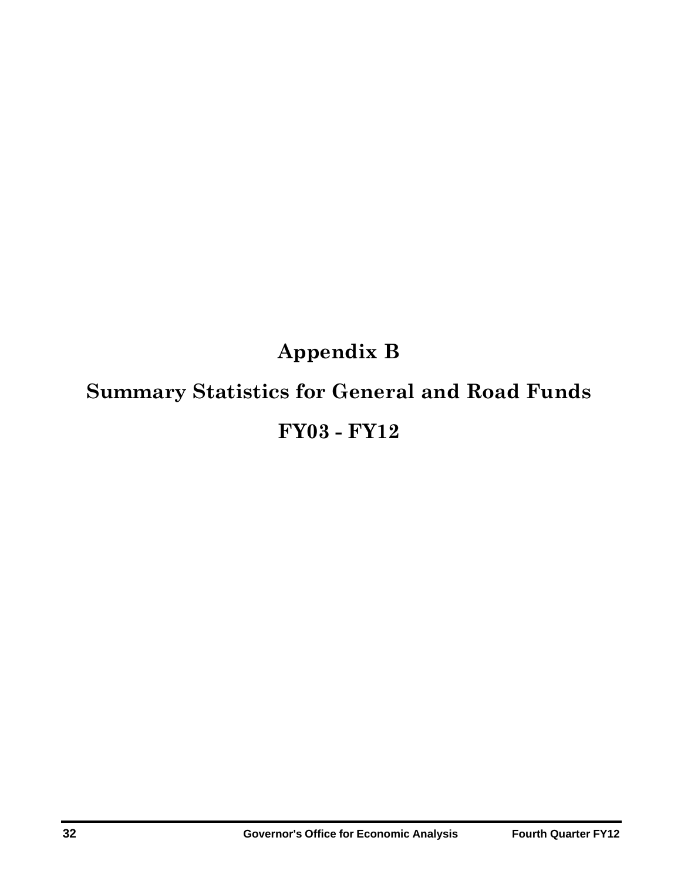# **Appendix B Summary Statistics for General and Road Funds FY03 - FY12**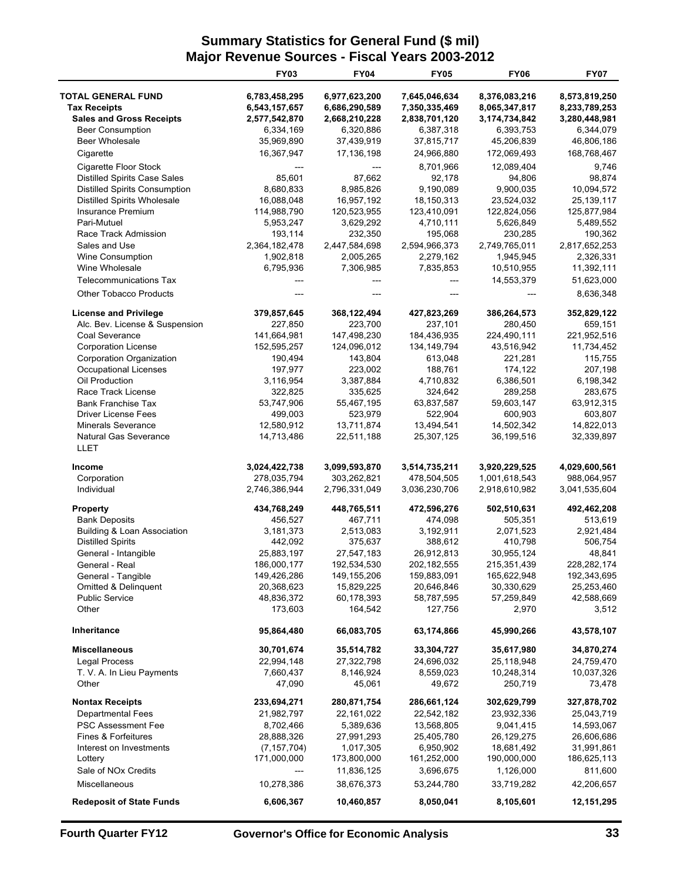## **Summary Statistics for General Fund (\$ mil) Major Revenue Sources - Fiscal Years 2003-2012**

|                                      | <b>FY03</b>   | <b>FY04</b>   | <b>FY05</b>   | <b>FY06</b>   | <b>FY07</b>   |
|--------------------------------------|---------------|---------------|---------------|---------------|---------------|
| <b>TOTAL GENERAL FUND</b>            | 6,783,458,295 | 6,977,623,200 | 7,645,046,634 | 8,376,083,216 | 8,573,819,250 |
| <b>Tax Receipts</b>                  | 6,543,157,657 | 6,686,290,589 | 7,350,335,469 | 8,065,347,817 | 8,233,789,253 |
| <b>Sales and Gross Receipts</b>      | 2,577,542,870 | 2,668,210,228 | 2,838,701,120 | 3,174,734,842 | 3,280,448,981 |
| <b>Beer Consumption</b>              | 6,334,169     | 6,320,886     | 6,387,318     | 6,393,753     | 6,344,079     |
| <b>Beer Wholesale</b>                | 35,969,890    | 37,439,919    | 37,815,717    | 45,206,839    | 46,806,186    |
| Cigarette                            | 16,367,947    | 17,136,198    | 24,966,880    | 172,069,493   | 168,768,467   |
| Cigarette Floor Stock                |               | ---           | 8,701,966     | 12,089,404    | 9,746         |
| <b>Distilled Spirits Case Sales</b>  | 85,601        | 87,662        | 92,178        | 94,806        | 98,874        |
| <b>Distilled Spirits Consumption</b> | 8,680,833     | 8,985,826     | 9,190,089     | 9,900,035     | 10,094,572    |
| <b>Distilled Spirits Wholesale</b>   | 16,088,048    | 16,957,192    | 18,150,313    | 23,524,032    | 25, 139, 117  |
| Insurance Premium                    | 114,988,790   | 120,523,955   | 123,410,091   | 122,824,056   | 125,877,984   |
| Pari-Mutuel                          | 5,953,247     | 3,629,292     | 4,710,111     | 5,626,849     | 5,489,552     |
| Race Track Admission                 | 193,114       | 232,350       | 195,068       | 230,285       | 190,362       |
| Sales and Use                        | 2,364,182,478 | 2,447,584,698 | 2,594,966,373 | 2,749,765,011 | 2,817,652,253 |
| <b>Wine Consumption</b>              | 1,902,818     | 2,005,265     | 2,279,162     | 1,945,945     | 2,326,331     |
| Wine Wholesale                       | 6,795,936     | 7,306,985     | 7,835,853     | 10,510,955    | 11,392,111    |
| <b>Telecommunications Tax</b>        |               |               |               | 14,553,379    | 51,623,000    |
| <b>Other Tobacco Products</b>        |               |               |               |               | 8,636,348     |
| <b>License and Privilege</b>         | 379,857,645   | 368,122,494   | 427,823,269   | 386,264,573   | 352,829,122   |
| Alc. Bev. License & Suspension       | 227,850       | 223,700       | 237,101       | 280,450       | 659,151       |
| Coal Severance                       | 141,664,981   | 147,498,230   | 184,436,935   | 224,490,111   | 221,952,516   |
| <b>Corporation License</b>           | 152,595,257   | 124,096,012   | 134, 149, 794 | 43,516,942    | 11,734,452    |
| Corporation Organization             | 190,494       | 143.804       | 613,048       | 221,281       | 115,755       |
| Occupational Licenses                | 197,977       | 223,002       | 188,761       | 174,122       | 207,198       |
| Oil Production                       | 3,116,954     | 3,387,884     | 4,710,832     | 6,386,501     | 6,198,342     |
| Race Track License                   | 322,825       | 335,625       | 324,642       | 289,258       | 283,675       |
| <b>Bank Franchise Tax</b>            | 53,747,906    | 55,467,195    | 63,837,587    | 59,603,147    | 63,912,315    |
| <b>Driver License Fees</b>           | 499,003       | 523,979       | 522,904       | 600,903       | 603,807       |
| <b>Minerals Severance</b>            | 12,580,912    | 13,711,874    | 13,494,541    | 14,502,342    | 14,822,013    |
| Natural Gas Severance<br>LLET        | 14,713,486    | 22,511,188    | 25,307,125    | 36,199,516    | 32,339,897    |
| <b>Income</b>                        | 3,024,422,738 | 3,099,593,870 | 3,514,735,211 | 3,920,229,525 | 4,029,600,561 |
| Corporation                          | 278,035,794   | 303,262,821   | 478,504,505   | 1,001,618,543 | 988,064,957   |
| Individual                           | 2,746,386,944 | 2,796,331,049 | 3,036,230,706 | 2,918,610,982 | 3,041,535,604 |
| Property                             | 434,768,249   | 448,765,511   | 472,596,276   | 502,510,631   | 492,462,208   |
| <b>Bank Deposits</b>                 | 456,527       | 467,711       | 474,098       | 505,351       | 513,619       |
| Building & Loan Association          | 3,181,373     | 2,513,083     | 3,192,911     | 2,071,523     | 2,921,484     |
| <b>Distilled Spirits</b>             | 442,092       | 375,637       | 388,612       | 410,798       | 506,754       |
| General - Intangible                 | 25,883,197    | 27,547,183    | 26,912,813    | 30,955,124    | 48,841        |
| General - Real                       | 186.000.177   | 192.534.530   | 202.182.555   | 215.351.439   | 228.282.174   |
| General - Tangible                   | 149,426,286   | 149, 155, 206 | 159,883,091   | 165,622,948   | 192,343,695   |
| Omitted & Delinquent                 | 20,368,623    | 15,829,225    | 20,646,846    | 30,330,629    | 25,253,460    |
| <b>Public Service</b>                | 48,836,372    | 60,178,393    | 58,787,595    | 57,259,849    | 42,588,669    |
| Other                                | 173,603       | 164,542       | 127,756       | 2,970         | 3,512         |
| Inheritance                          | 95,864,480    | 66,083,705    | 63,174,866    | 45,990,266    | 43,578,107    |
| <b>Miscellaneous</b>                 | 30,701,674    | 35,514,782    | 33,304,727    | 35,617,980    | 34,870,274    |
| <b>Legal Process</b>                 | 22,994,148    | 27,322,798    | 24,696,032    | 25,118,948    | 24,759,470    |
| T. V. A. In Lieu Payments            | 7,660,437     | 8,146,924     | 8,559,023     | 10,248,314    | 10,037,326    |
| Other                                | 47,090        | 45,061        | 49,672        | 250,719       | 73,478        |
| <b>Nontax Receipts</b>               | 233,694,271   | 280,871,754   | 286,661,124   | 302,629,799   | 327,878,702   |
| <b>Departmental Fees</b>             | 21,982,797    | 22,161,022    | 22,542,182    | 23,932,336    | 25,043,719    |
| <b>PSC Assessment Fee</b>            | 8,702,466     | 5,389,636     | 13,568,805    | 9,041,415     | 14,593,067    |
| Fines & Forfeitures                  | 28,888,326    | 27,991,293    | 25,405,780    | 26,129,275    | 26,606,686    |
| Interest on Investments              | (7, 157, 704) | 1,017,305     | 6,950,902     | 18,681,492    | 31,991,861    |
| Lottery                              | 171,000,000   | 173,800,000   | 161,252,000   | 190,000,000   | 186,625,113   |
| Sale of NOx Credits                  |               | 11,836,125    | 3,696,675     | 1,126,000     | 811,600       |
| Miscellaneous                        | 10,278,386    | 38,676,373    | 53,244,780    | 33,719,282    | 42,206,657    |
| <b>Redeposit of State Funds</b>      | 6,606,367     | 10,460,857    | 8,050,041     | 8,105,601     | 12,151,295    |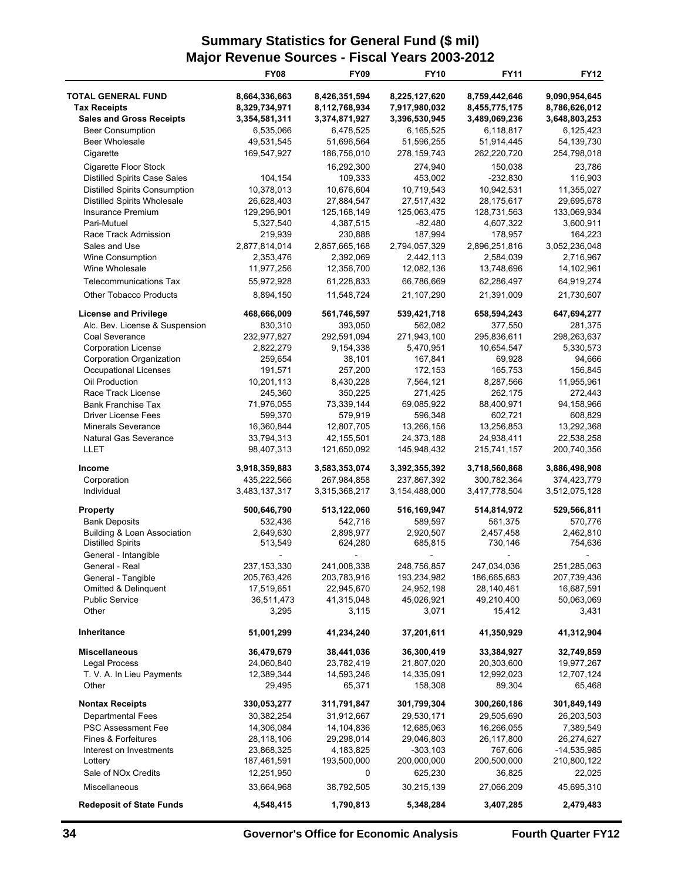## **Summary Statistics for General Fund (\$ mil) Major Revenue Sources - Fiscal Years 2003-2012**

|                                        | <b>FY08</b>   | <b>FY09</b>   | <b>FY10</b>   | <b>FY11</b>   | <b>FY12</b>   |
|----------------------------------------|---------------|---------------|---------------|---------------|---------------|
| <b>TOTAL GENERAL FUND</b>              | 8,664,336,663 | 8,426,351,594 | 8,225,127,620 | 8,759,442,646 | 9,090,954,645 |
| <b>Tax Receipts</b>                    | 8,329,734,971 | 8,112,768,934 | 7,917,980,032 | 8,455,775,175 | 8,786,626,012 |
| <b>Sales and Gross Receipts</b>        | 3,354,581,311 | 3,374,871,927 | 3,396,530,945 | 3,489,069,236 | 3,648,803,253 |
| <b>Beer Consumption</b>                | 6,535,066     | 6,478,525     | 6,165,525     | 6,118,817     | 6,125,423     |
| <b>Beer Wholesale</b>                  | 49,531,545    | 51,696,564    | 51,596,255    | 51,914,445    | 54,139,730    |
| Cigarette                              | 169,547,927   | 186,756,010   | 278, 159, 743 | 262,220,720   | 254,798,018   |
| Cigarette Floor Stock                  |               | 16,292,300    | 274,940       | 150,038       | 23,786        |
| <b>Distilled Spirits Case Sales</b>    | 104,154       | 109,333       | 453,002       | $-232,830$    | 116,903       |
| <b>Distilled Spirits Consumption</b>   | 10,378,013    | 10,676,604    | 10,719,543    | 10,942,531    | 11,355,027    |
| Distilled Spirits Wholesale            | 26,628,403    | 27,884,547    | 27,517,432    | 28,175,617    | 29,695,678    |
| Insurance Premium                      | 129,296,901   | 125, 168, 149 | 125,063,475   | 128,731,563   | 133,069,934   |
| Pari-Mutuel                            | 5,327,540     | 4,387,515     | $-82,480$     | 4,607,322     | 3,600,911     |
| Race Track Admission                   | 219,939       | 230,888       | 187,994       | 178,957       | 164,223       |
| Sales and Use                          | 2,877,814,014 | 2,857,665,168 | 2,794,057,329 | 2,896,251,816 | 3,052,236,048 |
| Wine Consumption                       | 2,353,476     | 2,392,069     | 2,442,113     | 2,584,039     | 2,716,967     |
| Wine Wholesale                         | 11,977,256    | 12,356,700    | 12,082,136    | 13,748,696    | 14,102,961    |
| <b>Telecommunications Tax</b>          | 55,972,928    | 61,228,833    | 66,786,669    | 62,286,497    | 64,919,274    |
| <b>Other Tobacco Products</b>          | 8,894,150     | 11,548,724    | 21,107,290    | 21,391,009    | 21,730,607    |
| <b>License and Privilege</b>           | 468,666,009   | 561,746,597   | 539,421,718   | 658,594,243   | 647,694,277   |
| Alc. Bev. License & Suspension         | 830,310       | 393,050       | 562,082       | 377,550       | 281,375       |
| Coal Severance                         | 232,977,827   | 292,591,094   | 271,943,100   | 295,836,611   | 298,263,637   |
| <b>Corporation License</b>             | 2,822,279     | 9,154,338     | 5,470,951     | 10,654,547    | 5,330,573     |
| Corporation Organization               | 259,654       | 38,101        | 167,841       | 69,928        | 94,666        |
| <b>Occupational Licenses</b>           | 191,571       | 257,200       | 172,153       | 165,753       | 156,845       |
| Oil Production                         | 10,201,113    | 8,430,228     | 7,564,121     | 8,287,566     | 11,955,961    |
| Race Track License                     | 245,360       | 350,225       | 271,425       | 262,175       | 272,443       |
| <b>Bank Franchise Tax</b>              | 71,976,055    | 73,339,144    | 69,085,922    | 88,400,971    | 94,158,966    |
| <b>Driver License Fees</b>             | 599,370       | 579,919       | 596,348       | 602,721       | 608,829       |
| <b>Minerals Severance</b>              | 16,360,844    | 12,807,705    | 13,266,156    | 13,256,853    | 13,292,368    |
| <b>Natural Gas Severance</b>           | 33,794,313    | 42,155,501    | 24,373,188    | 24,938,411    | 22,538,258    |
| LLET                                   | 98,407,313    | 121,650,092   | 145,948,432   | 215,741,157   | 200,740,356   |
| Income                                 | 3,918,359,883 | 3,583,353,074 | 3,392,355,392 | 3,718,560,868 | 3,886,498,908 |
| Corporation                            | 435,222,566   | 267,984,858   | 237,867,392   | 300,782,364   | 374,423,779   |
| Individual                             | 3,483,137,317 | 3,315,368,217 | 3,154,488,000 | 3,417,778,504 | 3,512,075,128 |
| <b>Property</b>                        | 500,646,790   | 513,122,060   | 516,169,947   | 514,814,972   | 529,566,811   |
| <b>Bank Deposits</b>                   | 532,436       | 542,716       | 589,597       | 561,375       | 570,776       |
| <b>Building &amp; Loan Association</b> | 2,649,630     | 2,898,977     | 2,920,507     | 2,457,458     | 2,462,810     |
| <b>Distilled Spirits</b>               | 513,549       | 624,280       | 685,815       | 730,146       | 754,636       |
| General - Intangible                   |               |               |               |               |               |
| General - Real                         | 237, 153, 330 | 241,008,338   | 248,756,857   | 247,034,036   | 251,285,063   |
| General - Tangible                     | 205,763,426   | 203,783,916   | 193,234,982   | 186,665,683   | 207,739,436   |
| <b>Omitted &amp; Delinguent</b>        | 17,519,651    | 22,945,670    | 24,952,198    | 28,140,461    | 16,687,591    |
| <b>Public Service</b>                  | 36,511,473    | 41,315,048    | 45,026,921    | 49,210,400    | 50,063,069    |
| Other                                  | 3,295         | 3,115         | 3,071         | 15,412        | 3,431         |
| Inheritance                            | 51,001,299    | 41,234,240    | 37,201,611    | 41,350,929    | 41,312,904    |
| Miscellaneous                          | 36,479,679    | 38,441,036    | 36,300,419    | 33,384,927    | 32,749,859    |
| <b>Legal Process</b>                   | 24,060,840    | 23,782,419    | 21,807,020    | 20,303,600    | 19,977,267    |
| T. V. A. In Lieu Payments              | 12,389,344    | 14,593,246    | 14,335,091    | 12,992,023    | 12,707,124    |
| Other                                  | 29,495        | 65,371        | 158,308       | 89,304        | 65,468        |
| <b>Nontax Receipts</b>                 | 330,053,277   | 311,791,847   | 301,799,304   | 300,260,186   | 301,849,149   |
| <b>Departmental Fees</b>               | 30,382,254    | 31,912,667    | 29,530,171    | 29,505,690    | 26,203,503    |
| <b>PSC Assessment Fee</b>              | 14,306,084    | 14,104,836    | 12,685,063    | 16,266,055    | 7,389,549     |
| Fines & Forfeitures                    | 28,118,106    | 29,298,014    | 29,046,803    | 26,117,800    | 26,274,627    |
| Interest on Investments                | 23,868,325    | 4,183,825     | $-303,103$    | 767,606       | -14,535,985   |
| Lottery                                | 187,461,591   | 193,500,000   | 200,000,000   | 200,500,000   | 210,800,122   |
| Sale of NO <sub>x</sub> Credits        | 12,251,950    | 0             | 625,230       | 36,825        | 22,025        |
| Miscellaneous                          | 33,664,968    | 38,792,505    | 30,215,139    | 27,066,209    | 45,695,310    |
| <b>Redeposit of State Funds</b>        | 4,548,415     | 1,790,813     | 5,348,284     | 3,407,285     | 2,479,483     |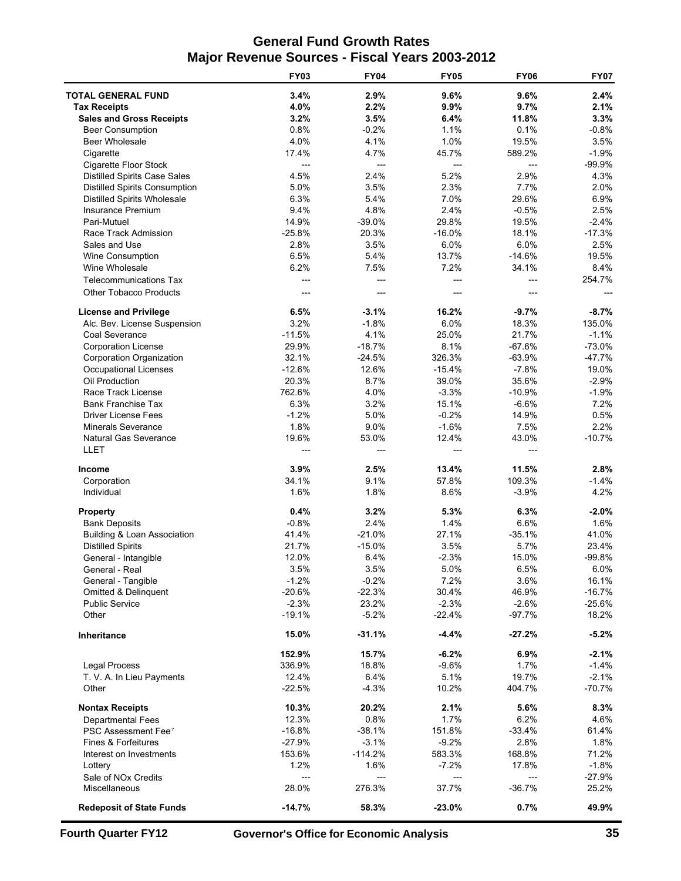## **General Fund Growth Rates Major Revenue Sources - Fiscal Years 2003-2012**

|                                      | <b>FY03</b>    | <b>FY04</b>    | <b>FY05</b>    | <b>FY06</b>    | <b>FY07</b> |
|--------------------------------------|----------------|----------------|----------------|----------------|-------------|
| <b>TOTAL GENERAL FUND</b>            | 3.4%           | 2.9%           | 9.6%           | 9.6%           | 2.4%        |
| <b>Tax Receipts</b>                  | 4.0%           | 2.2%           | 9.9%           | 9.7%           | 2.1%        |
| <b>Sales and Gross Receipts</b>      | 3.2%           | 3.5%           | 6.4%           | 11.8%          | 3.3%        |
| <b>Beer Consumption</b>              | 0.8%           | $-0.2%$        | 1.1%           | 0.1%           | $-0.8%$     |
| Beer Wholesale                       | 4.0%           | 4.1%           | 1.0%           | 19.5%          | 3.5%        |
| Cigarette                            | 17.4%          | 4.7%           | 45.7%          | 589.2%         | $-1.9%$     |
| Cigarette Floor Stock                | $\overline{a}$ | $\overline{a}$ | $\overline{a}$ | $\overline{a}$ | $-99.9%$    |
| <b>Distilled Spirits Case Sales</b>  | 4.5%           | 2.4%           | 5.2%           | 2.9%           | 4.3%        |
| <b>Distilled Spirits Consumption</b> | 5.0%           | 3.5%           | 2.3%           | 7.7%           | 2.0%        |
| <b>Distilled Spirits Wholesale</b>   | 6.3%           | 5.4%           | 7.0%           | 29.6%          | 6.9%        |
| Insurance Premium                    | 9.4%           | 4.8%           | 2.4%           | $-0.5%$        | 2.5%        |
| Pari-Mutuel                          | 14.9%          | $-39.0%$       | 29.8%          | 19.5%          | $-2.4%$     |
| Race Track Admission                 | $-25.8%$       | 20.3%          | $-16.0%$       | 18.1%          | $-17.3%$    |
| Sales and Use                        | 2.8%           | 3.5%           | 6.0%           | 6.0%           | 2.5%        |
| Wine Consumption                     | 6.5%           | 5.4%           | 13.7%          | $-14.6%$       | 19.5%       |
| Wine Wholesale                       | 6.2%           | 7.5%           | 7.2%           | 34.1%          | 8.4%        |
| <b>Telecommunications Tax</b>        | ---            | $---$          | $---$          | $---$          | 254.7%      |
| <b>Other Tobacco Products</b>        |                | ---            | ---            | ---            |             |
|                                      |                |                |                |                |             |
| <b>License and Privilege</b>         | 6.5%           | $-3.1%$        | 16.2%          | $-9.7%$        | $-8.7%$     |
| Alc. Bev. License Suspension         | 3.2%           | $-1.8%$        | 6.0%           | 18.3%          | 135.0%      |
| Coal Severance                       | $-11.5%$       | 4.1%           | 25.0%          | 21.7%          | $-1.1%$     |
| <b>Corporation License</b>           | 29.9%          | $-18.7%$       | 8.1%           | $-67.6%$       | $-73.0%$    |
| <b>Corporation Organization</b>      | 32.1%          | $-24.5%$       | 326.3%         | $-63.9%$       | $-47.7%$    |
| <b>Occupational Licenses</b>         | $-12.6%$       | 12.6%          | $-15.4%$       | $-7.8%$        | 19.0%       |
| Oil Production                       | 20.3%          | 8.7%           | 39.0%          | 35.6%          | $-2.9%$     |
| Race Track License                   | 762.6%         | 4.0%           | $-3.3%$        | $-10.9%$       | $-1.9%$     |
| <b>Bank Franchise Tax</b>            | 6.3%           | 3.2%           | 15.1%          | $-6.6%$        | 7.2%        |
| <b>Driver License Fees</b>           | $-1.2%$        | 5.0%           | $-0.2%$        | 14.9%          | 0.5%        |
| <b>Minerals Severance</b>            | 1.8%           | 9.0%           | $-1.6%$        | 7.5%           | 2.2%        |
| <b>Natural Gas Severance</b>         | 19.6%          | 53.0%          | 12.4%          | 43.0%          | $-10.7%$    |
| LLET                                 |                |                | ---            | ---            |             |
| Income                               | 3.9%           | 2.5%           | 13.4%          | 11.5%          | 2.8%        |
| Corporation                          | 34.1%          | 9.1%           | 57.8%          | 109.3%         | $-1.4%$     |
| Individual                           | 1.6%           | 1.8%           | 8.6%           | $-3.9%$        | 4.2%        |
| <b>Property</b>                      | 0.4%           | 3.2%           | 5.3%           | 6.3%           | $-2.0%$     |
| <b>Bank Deposits</b>                 | $-0.8%$        | 2.4%           | 1.4%           | 6.6%           | 1.6%        |
| Building & Loan Association          | 41.4%          | $-21.0%$       | 27.1%          | $-35.1%$       | 41.0%       |
| <b>Distilled Spirits</b>             | 21.7%          | $-15.0%$       | 3.5%           | 5.7%           | 23.4%       |
| General - Intangible                 | 12.0%          | 6.4%           | $-2.3%$        | 15.0%          | $-99.8%$    |
| General - Real                       | 3.5%           | 3.5%           | 5.0%           | 6.5%           | 6.0%        |
| General - Tangible                   | $-1.2%$        | $-0.2%$        | 7.2%           | 3.6%           | 16.1%       |
| <b>Omitted &amp; Delinquent</b>      | $-20.6%$       | $-22.3%$       | 30.4%          | 46.9%          | $-16.7%$    |
| <b>Public Service</b>                | $-2.3%$        | 23.2%          | $-2.3%$        | $-2.6\%$       | $-25.6%$    |
| Other                                | $-19.1%$       | $-5.2%$        | $-22.4%$       | $-97.7%$       | 18.2%       |
| Inheritance                          | 15.0%          | $-31.1%$       | $-4.4%$        | $-27.2%$       | $-5.2%$     |
|                                      | 152.9%         | 15.7%          | $-6.2%$        | 6.9%           | $-2.1%$     |
| <b>Legal Process</b>                 | 336.9%         | 18.8%          | $-9.6%$        | 1.7%           | $-1.4%$     |
| T. V. A. In Lieu Payments            | 12.4%          | 6.4%           | 5.1%           | 19.7%          | $-2.1%$     |
| Other                                | $-22.5%$       | $-4.3%$        | 10.2%          | 404.7%         | $-70.7%$    |
| <b>Nontax Receipts</b>               | 10.3%          | 20.2%          | 2.1%           | 5.6%           | 8.3%        |
| <b>Departmental Fees</b>             | 12.3%          | 0.8%           | 1.7%           | 6.2%           | 4.6%        |
| PSC Assessment Fee <sup>7</sup>      | $-16.8%$       | $-38.1%$       | 151.8%         | $-33.4%$       | 61.4%       |
| Fines & Forfeitures                  | $-27.9%$       | $-3.1%$        | $-9.2%$        | 2.8%           | 1.8%        |
| Interest on Investments              | 153.6%         | $-114.2%$      | 583.3%         | 168.8%         | 71.2%       |
| Lottery                              | 1.2%           | 1.6%           | $-7.2%$        | 17.8%          | $-1.8%$     |
| Sale of NO <sub>x</sub> Credits      | $---$          | $---$          | ---            | $---$          | $-27.9%$    |
| Miscellaneous                        | 28.0%          | 276.3%         | 37.7%          | $-36.7%$       | 25.2%       |
| <b>Redeposit of State Funds</b>      | $-14.7%$       | 58.3%          | $-23.0%$       | 0.7%           | 49.9%       |
|                                      |                |                |                |                |             |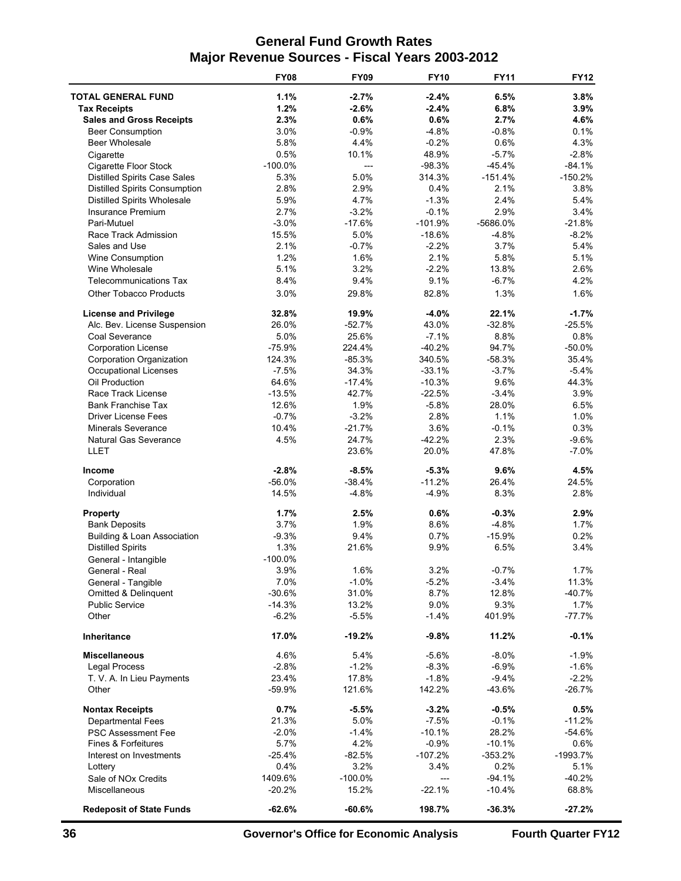## **General Fund Growth Rates Major Revenue Sources - Fiscal Years 2003-2012**

|                                      | <b>FY08</b> | <b>FY09</b> | <b>FY10</b> | <b>FY11</b> | <b>FY12</b> |
|--------------------------------------|-------------|-------------|-------------|-------------|-------------|
| <b>TOTAL GENERAL FUND</b>            | 1.1%        | $-2.7%$     | $-2.4%$     | 6.5%        | 3.8%        |
| <b>Tax Receipts</b>                  | 1.2%        | $-2.6%$     | $-2.4%$     | 6.8%        | 3.9%        |
| <b>Sales and Gross Receipts</b>      | 2.3%        | 0.6%        | 0.6%        | 2.7%        | 4.6%        |
| <b>Beer Consumption</b>              | 3.0%        | $-0.9%$     | $-4.8%$     | $-0.8%$     | 0.1%        |
| <b>Beer Wholesale</b>                | 5.8%        | 4.4%        | $-0.2%$     | 0.6%        | 4.3%        |
| Cigarette                            | 0.5%        | 10.1%       | 48.9%       | $-5.7%$     | $-2.8%$     |
| Cigarette Floor Stock                | $-100.0%$   | ---         | $-98.3%$    | $-45.4%$    | $-84.1%$    |
| <b>Distilled Spirits Case Sales</b>  | 5.3%        | 5.0%        | 314.3%      | $-151.4%$   | $-150.2%$   |
| <b>Distilled Spirits Consumption</b> | 2.8%        | 2.9%        | 0.4%        | 2.1%        | 3.8%        |
| <b>Distilled Spirits Wholesale</b>   | 5.9%        | 4.7%        | $-1.3%$     | 2.4%        | 5.4%        |
| <b>Insurance Premium</b>             | 2.7%        | $-3.2%$     | $-0.1%$     | 2.9%        | 3.4%        |
| Pari-Mutuel                          | $-3.0%$     | $-17.6%$    | $-101.9%$   | -5686.0%    | $-21.8%$    |
| Race Track Admission                 | 15.5%       | 5.0%        | $-18.6%$    | $-4.8%$     | $-8.2%$     |
| Sales and Use                        | 2.1%        | $-0.7%$     | $-2.2%$     | 3.7%        | 5.4%        |
| Wine Consumption                     | 1.2%        | 1.6%        | 2.1%        | 5.8%        | 5.1%        |
| Wine Wholesale                       | 5.1%        | 3.2%        | $-2.2%$     | 13.8%       | 2.6%        |
| <b>Telecommunications Tax</b>        | 8.4%        | 9.4%        | 9.1%        | $-6.7%$     | 4.2%        |
| <b>Other Tobacco Products</b>        | 3.0%        | 29.8%       | 82.8%       | 1.3%        | 1.6%        |
| <b>License and Privilege</b>         | 32.8%       | 19.9%       | $-4.0%$     | 22.1%       | $-1.7%$     |
| Alc. Bev. License Suspension         | 26.0%       | $-52.7%$    | 43.0%       | $-32.8%$    | $-25.5%$    |
| Coal Severance                       | 5.0%        | 25.6%       | $-7.1%$     | 8.8%        | 0.8%        |
| <b>Corporation License</b>           | $-75.9%$    | 224.4%      | $-40.2%$    | 94.7%       | $-50.0%$    |
| Corporation Organization             | 124.3%      | $-85.3%$    | 340.5%      | $-58.3%$    | 35.4%       |
| Occupational Licenses                | $-7.5%$     | 34.3%       | $-33.1%$    | $-3.7%$     | $-5.4%$     |
| Oil Production                       | 64.6%       | $-17.4%$    | $-10.3%$    | 9.6%        | 44.3%       |
| Race Track License                   | $-13.5%$    | 42.7%       | $-22.5%$    | $-3.4%$     | 3.9%        |
| <b>Bank Franchise Tax</b>            | 12.6%       | 1.9%        | $-5.8%$     | 28.0%       | 6.5%        |
| <b>Driver License Fees</b>           | $-0.7%$     | $-3.2%$     | 2.8%        | 1.1%        | 1.0%        |
| <b>Minerals Severance</b>            | 10.4%       | $-21.7%$    | 3.6%        | $-0.1%$     | 0.3%        |
| <b>Natural Gas Severance</b>         | 4.5%        | 24.7%       | $-42.2%$    | 2.3%        | $-9.6%$     |
| LLET                                 |             | 23.6%       | 20.0%       | 47.8%       | $-7.0%$     |
| <b>Income</b>                        | $-2.8%$     | $-8.5%$     | $-5.3%$     | 9.6%        | 4.5%        |
| Corporation                          | $-56.0%$    | $-38.4%$    | $-11.2%$    | 26.4%       | 24.5%       |
| Individual                           | 14.5%       | $-4.8%$     | $-4.9%$     | 8.3%        | 2.8%        |
| <b>Property</b>                      | 1.7%        | 2.5%        | 0.6%        | $-0.3%$     | 2.9%        |
| <b>Bank Deposits</b>                 | 3.7%        | 1.9%        | 8.6%        | $-4.8%$     | 1.7%        |
| Building & Loan Association          | $-9.3%$     | 9.4%        | 0.7%        | $-15.9%$    | 0.2%        |
| <b>Distilled Spirits</b>             | 1.3%        | 21.6%       | 9.9%        | 6.5%        | 3.4%        |
| General - Intangible                 | $-100.0%$   |             |             |             |             |
| General - Real                       | 3.9%        | 1.6%        | 3.2%        | $-0.7%$     | 1.7%        |
| General - Tangible                   | 7.0%        | $-1.0%$     | $-5.2%$     | $-3.4%$     | 11.3%       |
| <b>Omitted &amp; Delinquent</b>      | $-30.6%$    | 31.0%       | 8.7%        | 12.8%       | $-40.7%$    |
| <b>Public Service</b>                | $-14.3%$    | 13.2%       | 9.0%        | 9.3%        | 1.7%        |
| Other                                | $-6.2%$     | $-5.5%$     | $-1.4%$     | 401.9%      | $-77.7%$    |
| <b>Inheritance</b>                   | 17.0%       | $-19.2%$    | $-9.8%$     | 11.2%       | $-0.1%$     |
| <b>Miscellaneous</b>                 | 4.6%        | 5.4%        | $-5.6%$     | $-8.0%$     | $-1.9%$     |
| <b>Legal Process</b>                 | $-2.8%$     | $-1.2%$     | $-8.3%$     | $-6.9%$     | $-1.6%$     |
| T. V. A. In Lieu Payments            | 23.4%       | 17.8%       | $-1.8%$     | $-9.4%$     | $-2.2%$     |
| Other                                | $-59.9%$    | 121.6%      | 142.2%      | $-43.6%$    | -26.7%      |
| <b>Nontax Receipts</b>               | 0.7%        | $-5.5%$     | $-3.2%$     | $-0.5%$     | 0.5%        |
| <b>Departmental Fees</b>             | 21.3%       | 5.0%        | $-7.5%$     | $-0.1%$     | $-11.2%$    |
| <b>PSC Assessment Fee</b>            | $-2.0%$     | $-1.4%$     | $-10.1%$    | 28.2%       | $-54.6%$    |
| Fines & Forfeitures                  | 5.7%        | 4.2%        | $-0.9%$     | $-10.1%$    | 0.6%        |
| Interest on Investments              | $-25.4%$    | $-82.5%$    | $-107.2%$   | $-353.2%$   | -1993.7%    |
| Lottery                              | 0.4%        | 3.2%        | 3.4%        | 0.2%        | 5.1%        |
| Sale of NO <sub>x</sub> Credits      | 1409.6%     | $-100.0%$   | ---         | $-94.1%$    | $-40.2%$    |
| Miscellaneous                        | $-20.2%$    | 15.2%       | $-22.1%$    | $-10.4%$    | 68.8%       |
| <b>Redeposit of State Funds</b>      | $-62.6%$    | $-60.6%$    | 198.7%      | $-36.3%$    | $-27.2%$    |

**36 Governor's Office for Economic Analysis Fourth Quarter FY12**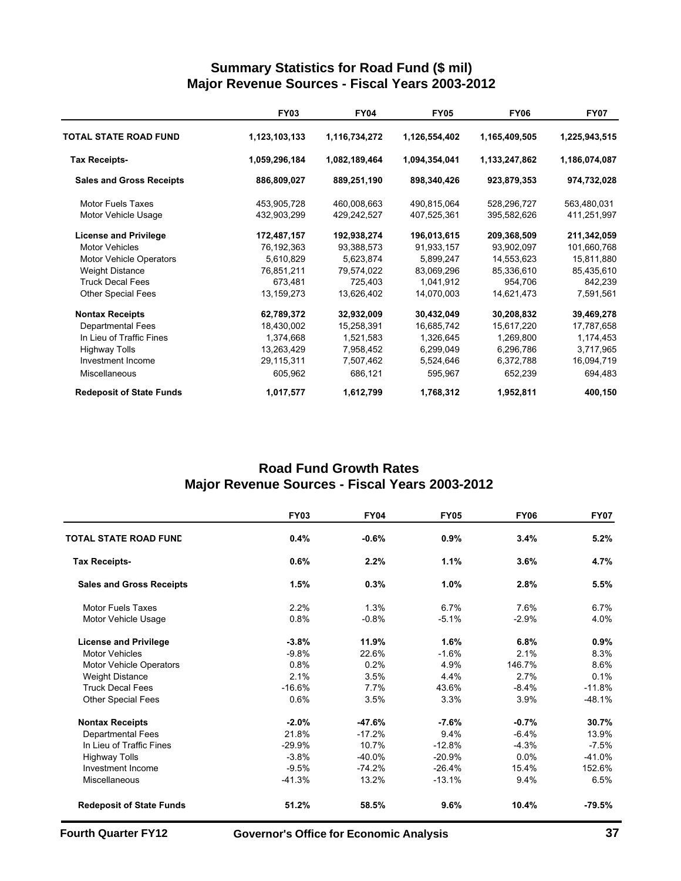## **Summary Statistics for Road Fund (\$ mil) Major Revenue Sources - Fiscal Years 2003-2012**

|                                 | <b>FY03</b>   | <b>FY04</b>   | <b>FY05</b>   | <b>FY06</b>   | <b>FY07</b>   |
|---------------------------------|---------------|---------------|---------------|---------------|---------------|
| TOTAL STATE ROAD FUND           | 1,123,103,133 | 1,116,734,272 | 1,126,554,402 | 1,165,409,505 | 1,225,943,515 |
| <b>Tax Receipts-</b>            | 1,059,296,184 | 1,082,189,464 | 1,094,354,041 | 1,133,247,862 | 1,186,074,087 |
| <b>Sales and Gross Receipts</b> | 886,809,027   | 889,251,190   | 898,340,426   | 923,879,353   | 974,732,028   |
| <b>Motor Fuels Taxes</b>        | 453,905,728   | 460,008,663   | 490,815,064   | 528,296,727   | 563,480,031   |
| Motor Vehicle Usage             | 432,903,299   | 429,242,527   | 407,525,361   | 395,582,626   | 411,251,997   |
| <b>License and Privilege</b>    | 172,487,157   | 192,938,274   | 196,013,615   | 209,368,509   | 211,342,059   |
| <b>Motor Vehicles</b>           | 76,192,363    | 93,388,573    | 91,933,157    | 93,902,097    | 101,660,768   |
| <b>Motor Vehicle Operators</b>  | 5,610,829     | 5,623,874     | 5,899,247     | 14,553,623    | 15,811,880    |
| <b>Weight Distance</b>          | 76,851,211    | 79,574,022    | 83,069,296    | 85,336,610    | 85,435,610    |
| <b>Truck Decal Fees</b>         | 673,481       | 725,403       | 1,041,912     | 954,706       | 842,239       |
| <b>Other Special Fees</b>       | 13,159,273    | 13,626,402    | 14,070,003    | 14,621,473    | 7,591,561     |
| <b>Nontax Receipts</b>          | 62,789,372    | 32,932,009    | 30,432,049    | 30,208,832    | 39,469,278    |
| <b>Departmental Fees</b>        | 18,430,002    | 15,258,391    | 16,685,742    | 15,617,220    | 17,787,658    |
| In Lieu of Traffic Fines        | 1,374,668     | 1,521,583     | 1,326,645     | 1,269,800     | 1,174,453     |
| <b>Highway Tolls</b>            | 13,263,429    | 7,958,452     | 6,299,049     | 6,296,786     | 3,717,965     |
| Investment Income               | 29,115,311    | 7,507,462     | 5,524,646     | 6,372,788     | 16,094,719    |
| <b>Miscellaneous</b>            | 605,962       | 686,121       | 595,967       | 652,239       | 694,483       |
| <b>Redeposit of State Funds</b> | 1,017,577     | 1,612,799     | 1,768,312     | 1,952,811     | 400,150       |

## **Road Fund Growth Rates Major Revenue Sources - Fiscal Years 2003-2012**

|                                 | <b>FY03</b> | <b>FY04</b> | <b>FY05</b> | <b>FY06</b> | <b>FY07</b> |
|---------------------------------|-------------|-------------|-------------|-------------|-------------|
| <b>TOTAL STATE ROAD FUND</b>    | 0.4%        | $-0.6%$     | 0.9%        | 3.4%        | 5.2%        |
| <b>Tax Receipts-</b>            | 0.6%        | 2.2%        | 1.1%        | 3.6%        | 4.7%        |
| <b>Sales and Gross Receipts</b> | 1.5%        | 0.3%        | 1.0%        | 2.8%        | 5.5%        |
| <b>Motor Fuels Taxes</b>        | 2.2%        | 1.3%        | 6.7%        | 7.6%        | 6.7%        |
| Motor Vehicle Usage             | 0.8%        | $-0.8%$     | $-5.1%$     | $-2.9%$     | 4.0%        |
| <b>License and Privilege</b>    | $-3.8%$     | 11.9%       | 1.6%        | 6.8%        | 0.9%        |
| <b>Motor Vehicles</b>           | $-9.8%$     | 22.6%       | $-1.6%$     | 2.1%        | 8.3%        |
| <b>Motor Vehicle Operators</b>  | 0.8%        | 0.2%        | 4.9%        | 146.7%      | 8.6%        |
| <b>Weight Distance</b>          | 2.1%        | 3.5%        | 4.4%        | 2.7%        | 0.1%        |
| <b>Truck Decal Fees</b>         | $-16.6%$    | 7.7%        | 43.6%       | $-8.4%$     | $-11.8%$    |
| <b>Other Special Fees</b>       | 0.6%        | 3.5%        | 3.3%        | 3.9%        | $-48.1%$    |
| <b>Nontax Receipts</b>          | $-2.0%$     | $-47.6%$    | $-7.6%$     | $-0.7%$     | 30.7%       |
| <b>Departmental Fees</b>        | 21.8%       | $-17.2%$    | 9.4%        | $-6.4%$     | 13.9%       |
| In Lieu of Traffic Fines        | $-29.9%$    | 10.7%       | $-12.8%$    | $-4.3%$     | $-7.5%$     |
| <b>Highway Tolls</b>            | $-3.8%$     | $-40.0\%$   | $-20.9%$    | 0.0%        | $-41.0%$    |
| Investment Income               | $-9.5%$     | $-74.2%$    | $-26.4%$    | 15.4%       | 152.6%      |
| Miscellaneous                   | $-41.3%$    | 13.2%       | $-13.1%$    | 9.4%        | 6.5%        |
| <b>Redeposit of State Funds</b> | 51.2%       | 58.5%       | 9.6%        | 10.4%       | $-79.5%$    |